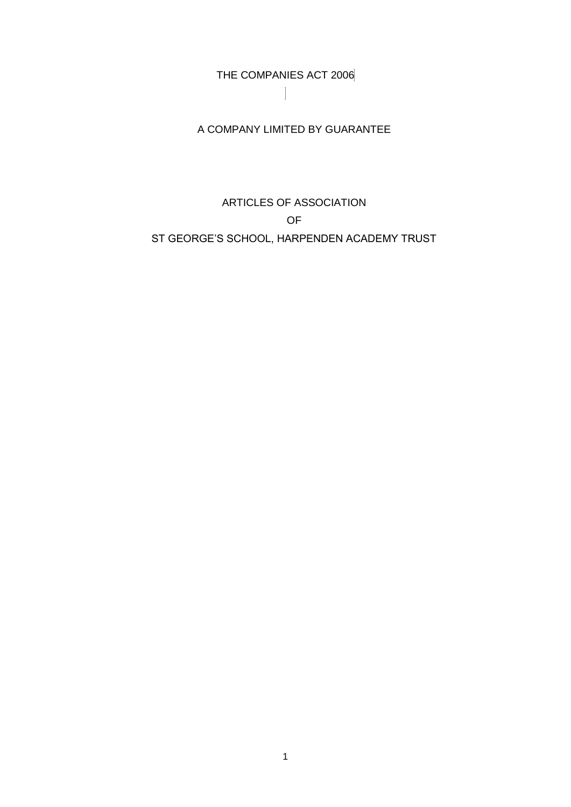THE COMPANIES ACT 2006

A COMPANY LIMITED BY GUARANTEE

# ARTICLES OF ASSOCIATION OF ST GEORGE'S SCHOOL, HARPENDEN ACADEMY TRUST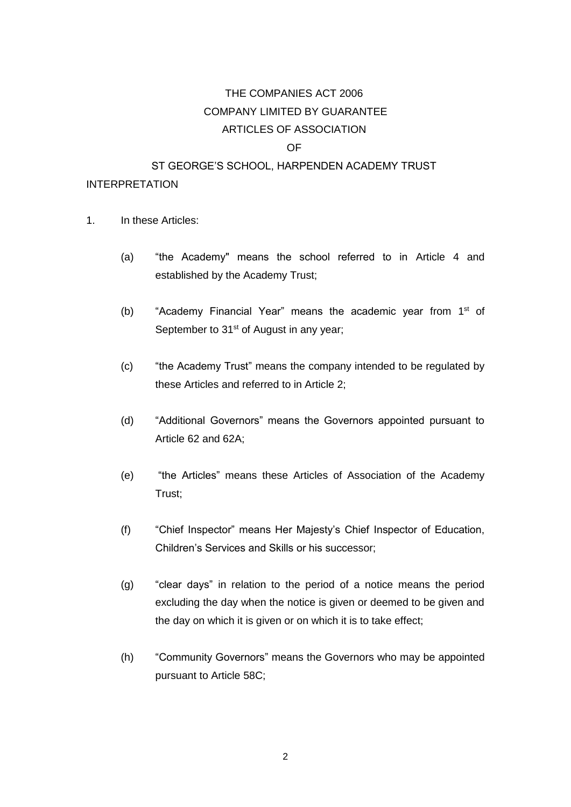# THE COMPANIES ACT 2006 COMPANY LIMITED BY GUARANTEE ARTICLES OF ASSOCIATION

# OF

# ST GEORGE'S SCHOOL, HARPENDEN ACADEMY TRUST

# INTERPRETATION

- 1. In these Articles:
	- (a) "the Academy" means the school referred to in Article [4](#page-4-0) and established by the Academy Trust;
	- (b) "Academy Financial Year" means the academic year from 1<sup>st</sup> of September to 31<sup>st</sup> of August in any year;
	- (c) "the Academy Trust" means the company intended to be regulated by these Articles and referred to in Article [2;](#page-4-1)
	- (d) "Additional Governors" means the Governors appointed pursuant to Article [62](#page-23-0) and [62A](#page-23-0);
	- (e) "the Articles" means these Articles of Association of the Academy Trust;
	- (f) "Chief Inspector" means Her Majesty's Chief Inspector of Education, Children's Services and Skills or his successor;
	- (g) "clear days" in relation to the period of a notice means the period excluding the day when the notice is given or deemed to be given and the day on which it is given or on which it is to take effect;
	- (h) "Community Governors" means the Governors who may be appointed pursuant to Article [58C](#page-22-0);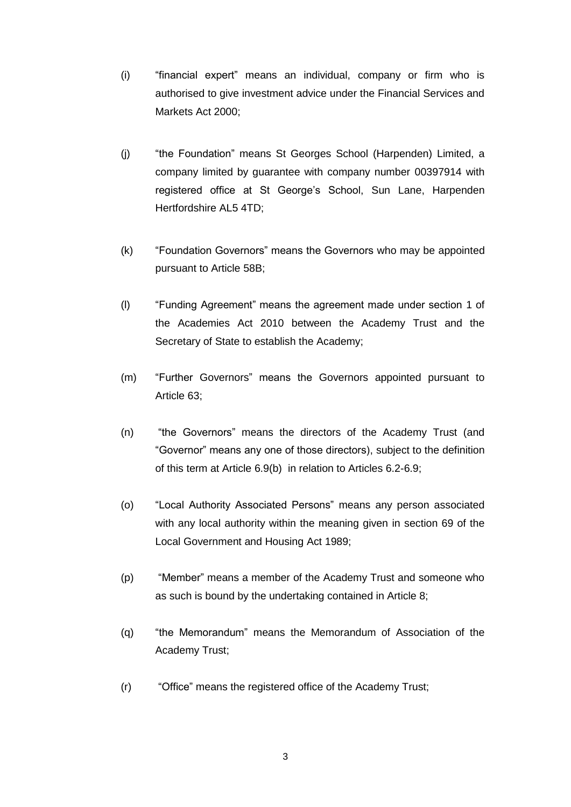- (i) "financial expert" means an individual, company or firm who is authorised to give investment advice under the Financial Services and Markets Act 2000;
- (j) "the Foundation" means St Georges School (Harpenden) Limited, a company limited by guarantee with company number 00397914 with registered office at St George's School, Sun Lane, Harpenden Hertfordshire AL5 4TD;
- (k) "Foundation Governors" means the Governors who may be appointed pursuant to Article [58B](#page-22-0);
- (l) "Funding Agreement" means the agreement made under section 1 of the Academies Act 2010 between the Academy Trust and the Secretary of State to establish the Academy;
- (m) "Further Governors" means the Governors appointed pursuant to Article [63;](#page-24-0)
- (n) "the Governors" means the directors of the Academy Trust (and "Governor" means any one of those directors), subject to the definition of this term at Article 6.9(b) in relation to Articles [6.2](#page-7-0)[-6.9;](#page-11-0)
- (o) "Local Authority Associated Persons" means any person associated with any local authority within the meaning given in section 69 of the Local Government and Housing Act 1989;
- (p) "Member" means a member of the Academy Trust and someone who as such is bound by the undertaking contained in Article [8;](#page-11-1)
- (q) "the Memorandum" means the Memorandum of Association of the Academy Trust;
- (r) "Office" means the registered office of the Academy Trust;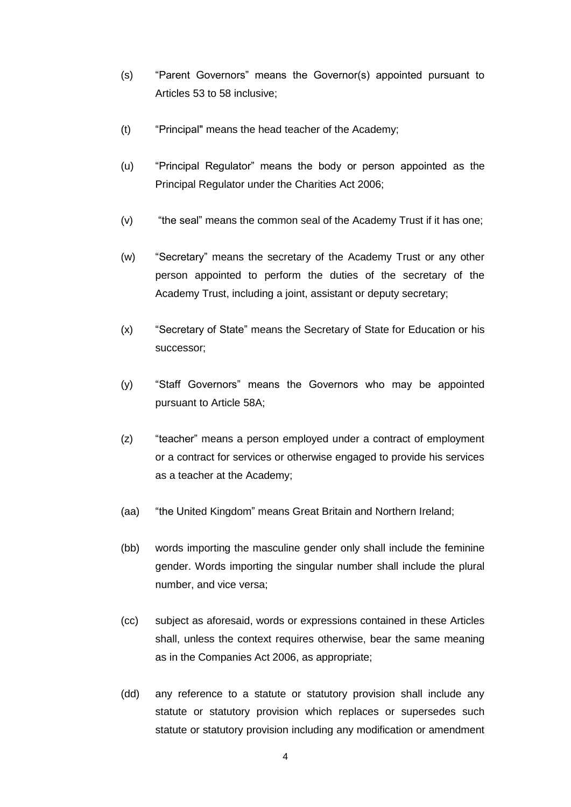- (s) "Parent Governors" means the Governor(s) appointed pursuant to Articles [53](#page-21-0) to [58](#page-22-0) inclusive;
- (t) "Principal" means the head teacher of the Academy;
- (u) "Principal Regulator" means the body or person appointed as the Principal Regulator under the Charities Act 2006;
- (v) "the seal" means the common seal of the Academy Trust if it has one;
- (w) "Secretary" means the secretary of the Academy Trust or any other person appointed to perform the duties of the secretary of the Academy Trust, including a joint, assistant or deputy secretary;
- (x) "Secretary of State" means the Secretary of State for Education or his successor;
- (y) "Staff Governors" means the Governors who may be appointed pursuant to Article [58A](#page-22-0);
- (z) "teacher" means a person employed under a contract of employment or a contract for services or otherwise engaged to provide his services as a teacher at the Academy;
- (aa) "the United Kingdom" means Great Britain and Northern Ireland;
- (bb) words importing the masculine gender only shall include the feminine gender. Words importing the singular number shall include the plural number, and vice versa;
- (cc) subject as aforesaid, words or expressions contained in these Articles shall, unless the context requires otherwise, bear the same meaning as in the Companies Act 2006, as appropriate;
- (dd) any reference to a statute or statutory provision shall include any statute or statutory provision which replaces or supersedes such statute or statutory provision including any modification or amendment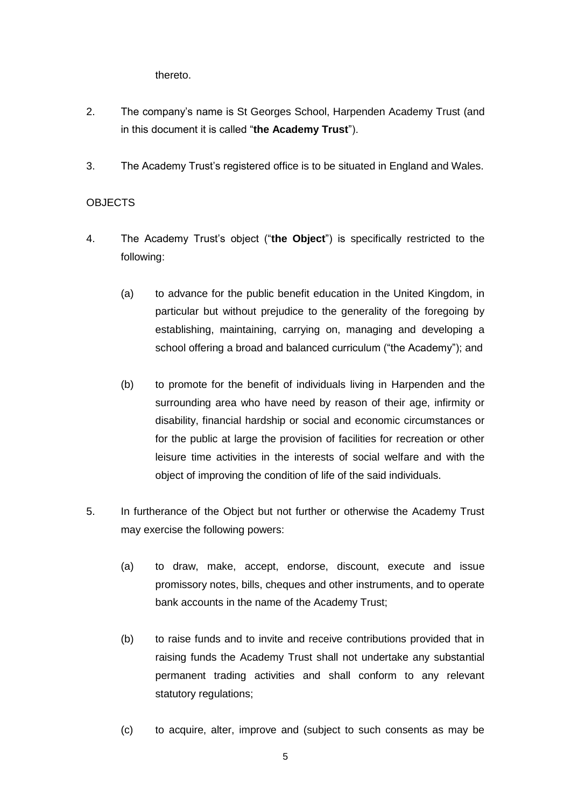thereto.

- <span id="page-4-1"></span>2. The company's name is St Georges School, Harpenden Academy Trust (and in this document it is called "**the Academy Trust**").
- 3. The Academy Trust's registered office is to be situated in England and Wales.

# **OBJECTS**

- <span id="page-4-0"></span>4. The Academy Trust's object ("**the Object**") is specifically restricted to the following:
	- (a) to advance for the public benefit education in the United Kingdom, in particular but without prejudice to the generality of the foregoing by establishing, maintaining, carrying on, managing and developing a school offering a broad and balanced curriculum ("the Academy"); and
	- (b) to promote for the benefit of individuals living in Harpenden and the surrounding area who have need by reason of their age, infirmity or disability, financial hardship or social and economic circumstances or for the public at large the provision of facilities for recreation or other leisure time activities in the interests of social welfare and with the object of improving the condition of life of the said individuals.
- 5. In furtherance of the Object but not further or otherwise the Academy Trust may exercise the following powers:
	- (a) to draw, make, accept, endorse, discount, execute and issue promissory notes, bills, cheques and other instruments, and to operate bank accounts in the name of the Academy Trust;
	- (b) to raise funds and to invite and receive contributions provided that in raising funds the Academy Trust shall not undertake any substantial permanent trading activities and shall conform to any relevant statutory regulations;
	- (c) to acquire, alter, improve and (subject to such consents as may be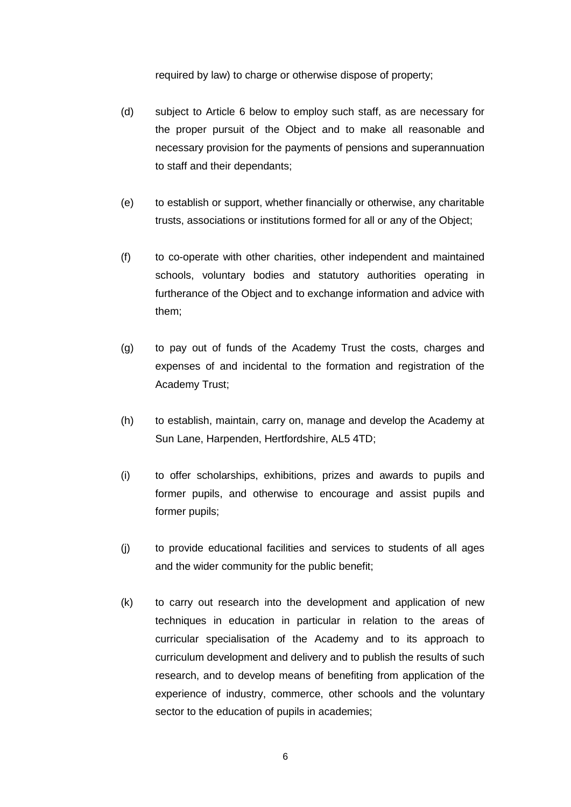required by law) to charge or otherwise dispose of property;

- (d) subject to Article [6](#page-7-1) below to employ such staff, as are necessary for the proper pursuit of the Object and to make all reasonable and necessary provision for the payments of pensions and superannuation to staff and their dependants;
- (e) to establish or support, whether financially or otherwise, any charitable trusts, associations or institutions formed for all or any of the Object;
- (f) to co-operate with other charities, other independent and maintained schools, voluntary bodies and statutory authorities operating in furtherance of the Object and to exchange information and advice with them;
- (g) to pay out of funds of the Academy Trust the costs, charges and expenses of and incidental to the formation and registration of the Academy Trust;
- (h) to establish, maintain, carry on, manage and develop the Academy at Sun Lane, Harpenden, Hertfordshire, AL5 4TD;
- (i) to offer scholarships, exhibitions, prizes and awards to pupils and former pupils, and otherwise to encourage and assist pupils and former pupils;
- (j) to provide educational facilities and services to students of all ages and the wider community for the public benefit;
- (k) to carry out research into the development and application of new techniques in education in particular in relation to the areas of curricular specialisation of the Academy and to its approach to curriculum development and delivery and to publish the results of such research, and to develop means of benefiting from application of the experience of industry, commerce, other schools and the voluntary sector to the education of pupils in academies;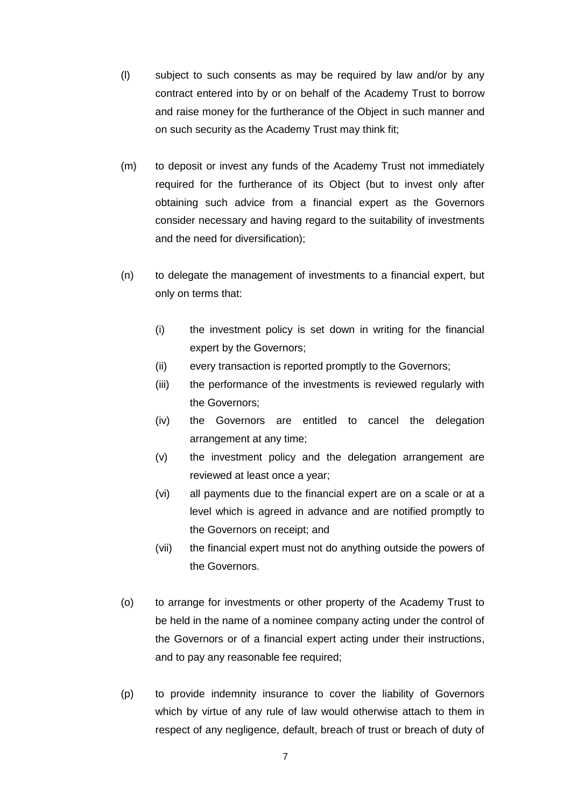- (l) subject to such consents as may be required by law and/or by any contract entered into by or on behalf of the Academy Trust to borrow and raise money for the furtherance of the Object in such manner and on such security as the Academy Trust may think fit;
- (m) to deposit or invest any funds of the Academy Trust not immediately required for the furtherance of its Object (but to invest only after obtaining such advice from a financial expert as the Governors consider necessary and having regard to the suitability of investments and the need for diversification);
- (n) to delegate the management of investments to a financial expert, but only on terms that:
	- (i) the investment policy is set down in writing for the financial expert by the Governors;
	- (ii) every transaction is reported promptly to the Governors;
	- (iii) the performance of the investments is reviewed regularly with the Governors;
	- (iv) the Governors are entitled to cancel the delegation arrangement at any time;
	- (v) the investment policy and the delegation arrangement are reviewed at least once a year;
	- (vi) all payments due to the financial expert are on a scale or at a level which is agreed in advance and are notified promptly to the Governors on receipt; and
	- (vii) the financial expert must not do anything outside the powers of the Governors.
- (o) to arrange for investments or other property of the Academy Trust to be held in the name of a nominee company acting under the control of the Governors or of a financial expert acting under their instructions, and to pay any reasonable fee required;
- (p) to provide indemnity insurance to cover the liability of Governors which by virtue of any rule of law would otherwise attach to them in respect of any negligence, default, breach of trust or breach of duty of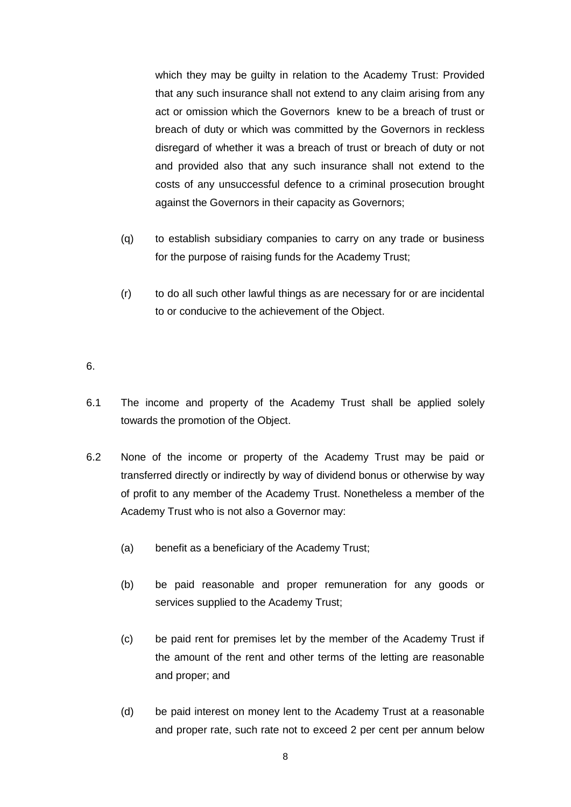which they may be guilty in relation to the Academy Trust: Provided that any such insurance shall not extend to any claim arising from any act or omission which the Governors knew to be a breach of trust or breach of duty or which was committed by the Governors in reckless disregard of whether it was a breach of trust or breach of duty or not and provided also that any such insurance shall not extend to the costs of any unsuccessful defence to a criminal prosecution brought against the Governors in their capacity as Governors;

- (q) to establish subsidiary companies to carry on any trade or business for the purpose of raising funds for the Academy Trust;
- (r) to do all such other lawful things as are necessary for or are incidental to or conducive to the achievement of the Object.

#### <span id="page-7-1"></span>6.

- 6.1 The income and property of the Academy Trust shall be applied solely towards the promotion of the Object.
- <span id="page-7-0"></span>6.2 None of the income or property of the Academy Trust may be paid or transferred directly or indirectly by way of dividend bonus or otherwise by way of profit to any member of the Academy Trust. Nonetheless a member of the Academy Trust who is not also a Governor may:
	- (a) benefit as a beneficiary of the Academy Trust;
	- (b) be paid reasonable and proper remuneration for any goods or services supplied to the Academy Trust;
	- (c) be paid rent for premises let by the member of the Academy Trust if the amount of the rent and other terms of the letting are reasonable and proper; and
	- (d) be paid interest on money lent to the Academy Trust at a reasonable and proper rate, such rate not to exceed 2 per cent per annum below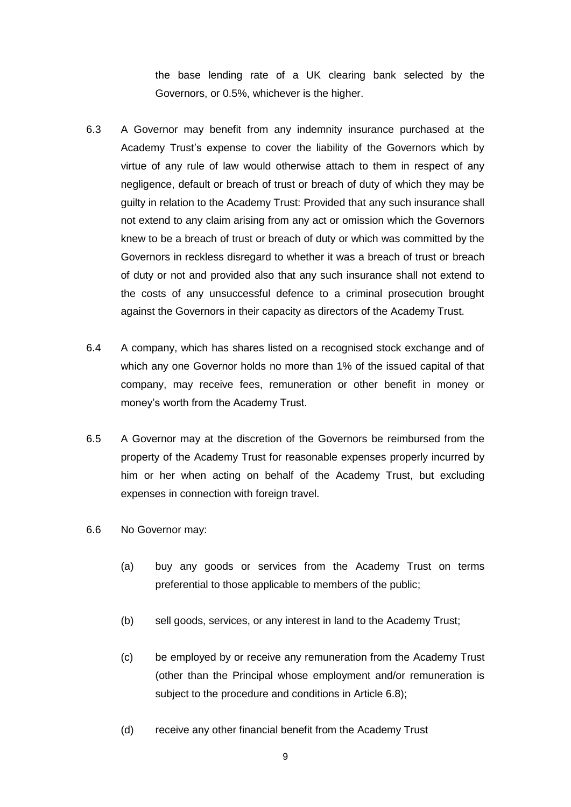the base lending rate of a UK clearing bank selected by the Governors, or 0.5%, whichever is the higher.

- 6.3 A Governor may benefit from any indemnity insurance purchased at the Academy Trust's expense to cover the liability of the Governors which by virtue of any rule of law would otherwise attach to them in respect of any negligence, default or breach of trust or breach of duty of which they may be guilty in relation to the Academy Trust: Provided that any such insurance shall not extend to any claim arising from any act or omission which the Governors knew to be a breach of trust or breach of duty or which was committed by the Governors in reckless disregard to whether it was a breach of trust or breach of duty or not and provided also that any such insurance shall not extend to the costs of any unsuccessful defence to a criminal prosecution brought against the Governors in their capacity as directors of the Academy Trust.
- 6.4 A company, which has shares listed on a recognised stock exchange and of which any one Governor holds no more than 1% of the issued capital of that company, may receive fees, remuneration or other benefit in money or money's worth from the Academy Trust.
- <span id="page-8-1"></span>6.5 A Governor may at the discretion of the Governors be reimbursed from the property of the Academy Trust for reasonable expenses properly incurred by him or her when acting on behalf of the Academy Trust, but excluding expenses in connection with foreign travel.
- <span id="page-8-0"></span>6.6 No Governor may:
	- (a) buy any goods or services from the Academy Trust on terms preferential to those applicable to members of the public;
	- (b) sell goods, services, or any interest in land to the Academy Trust;
	- (c) be employed by or receive any remuneration from the Academy Trust (other than the Principal whose employment and/or remuneration is subject to the procedure and conditions in Article [6.8\)](#page-9-0);
	- (d) receive any other financial benefit from the Academy Trust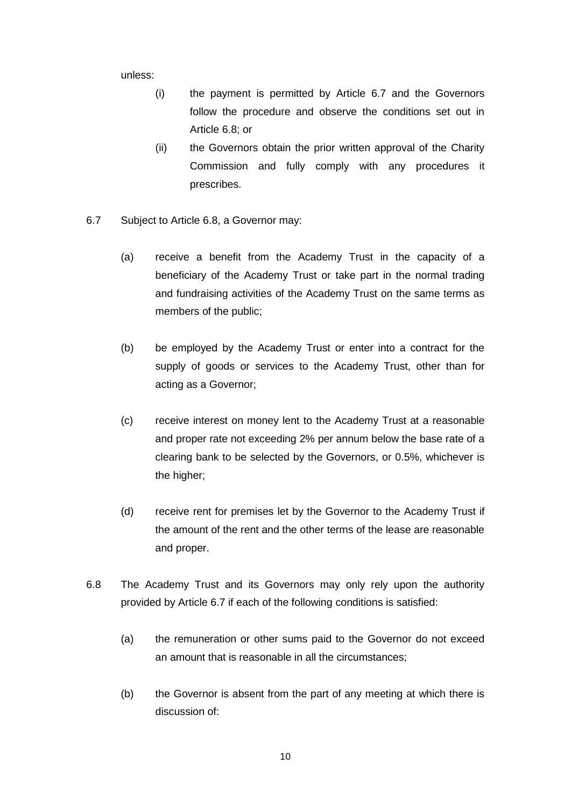unless:

- (i) the payment is permitted by Article [6.7](#page-9-1) and the Governors follow the procedure and observe the conditions set out in Article [6.8;](#page-9-0) or
- (ii) the Governors obtain the prior written approval of the Charity Commission and fully comply with any procedures it prescribes.
- <span id="page-9-1"></span>6.7 Subject to Article [6.8,](#page-9-0) a Governor may:
	- (a) receive a benefit from the Academy Trust in the capacity of a beneficiary of the Academy Trust or take part in the normal trading and fundraising activities of the Academy Trust on the same terms as members of the public;
	- (b) be employed by the Academy Trust or enter into a contract for the supply of goods or services to the Academy Trust, other than for acting as a Governor;
	- (c) receive interest on money lent to the Academy Trust at a reasonable and proper rate not exceeding 2% per annum below the base rate of a clearing bank to be selected by the Governors, or 0.5%, whichever is the higher;
	- (d) receive rent for premises let by the Governor to the Academy Trust if the amount of the rent and the other terms of the lease are reasonable and proper.
- <span id="page-9-0"></span>6.8 The Academy Trust and its Governors may only rely upon the authority provided by Article [6.7](#page-9-1) if each of the following conditions is satisfied:
	- (a) the remuneration or other sums paid to the Governor do not exceed an amount that is reasonable in all the circumstances;
	- (b) the Governor is absent from the part of any meeting at which there is discussion of: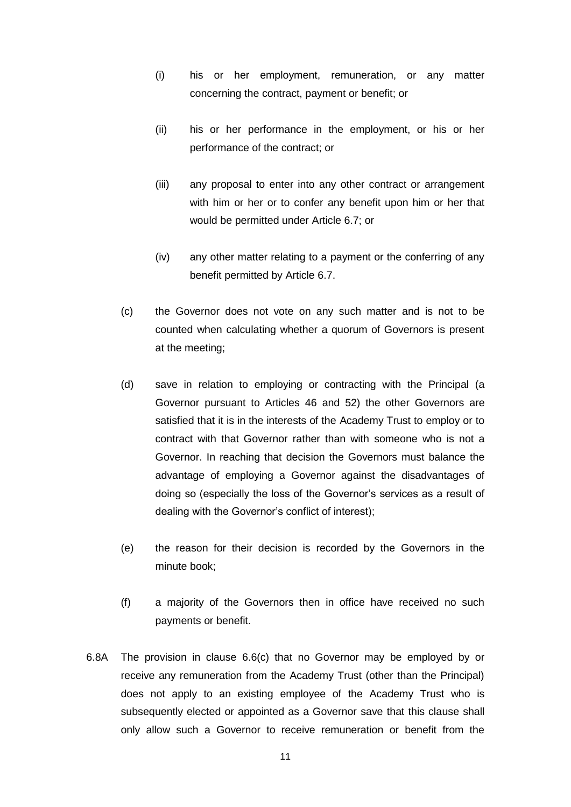- <span id="page-10-0"></span>(i) his or her employment, remuneration, or any matter concerning the contract, payment or benefit; or
- <span id="page-10-1"></span>(ii) his or her performance in the employment, or his or her performance of the contract; or
- (iii) any proposal to enter into any other contract or arrangement with him or her or to confer any benefit upon him or her that would be permitted under Article [6.7;](#page-9-1) or
- (iv) any other matter relating to a payment or the conferring of any benefit permitted by Article [6.7.](#page-9-1)
- <span id="page-10-2"></span>(c) the Governor does not vote on any such matter and is not to be counted when calculating whether a quorum of Governors is present at the meeting;
- (d) save in relation to employing or contracting with the Principal (a Governor pursuant to Articles [46](#page-20-0) and [52\)](#page-21-1) the other Governors are satisfied that it is in the interests of the Academy Trust to employ or to contract with that Governor rather than with someone who is not a Governor. In reaching that decision the Governors must balance the advantage of employing a Governor against the disadvantages of doing so (especially the loss of the Governor's services as a result of dealing with the Governor's conflict of interest);
- (e) the reason for their decision is recorded by the Governors in the minute book;
- (f) a majority of the Governors then in office have received no such payments or benefit.
- [6.8A](#page-9-0) The provision in clause [6.6\(c\)](#page-8-0) that no Governor may be employed by or receive any remuneration from the Academy Trust (other than the Principal) does not apply to an existing employee of the Academy Trust who is subsequently elected or appointed as a Governor save that this clause shall only allow such a Governor to receive remuneration or benefit from the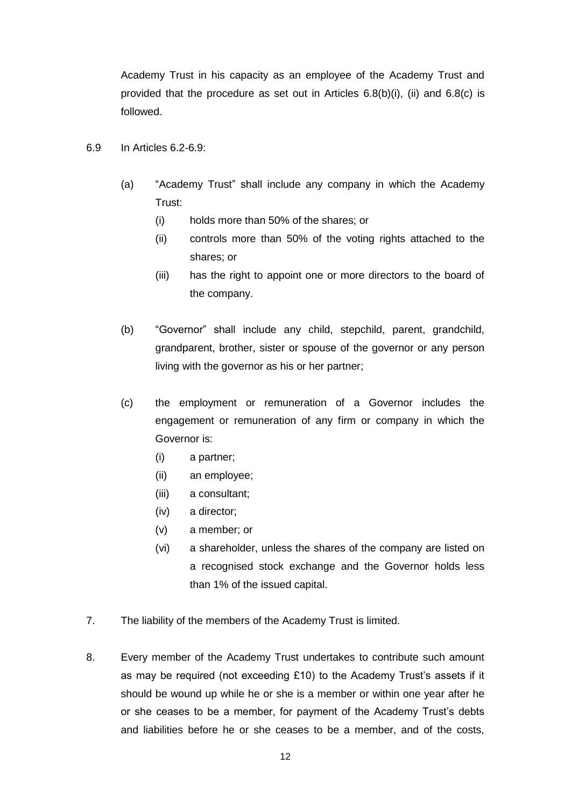Academy Trust in his capacity as an employee of the Academy Trust and provided that the procedure as set out in Articles  $6.8(b)(i)$ , [\(ii\)](#page-10-1) and  $6.8(c)$  is followed.

- <span id="page-11-0"></span>6.9 In Articles [6.2](#page-7-0)[-6.9:](#page-11-0)
	- (a) "Academy Trust" shall include any company in which the Academy Trust:
		- (i) holds more than 50% of the shares; or
		- (ii) controls more than 50% of the voting rights attached to the shares; or
		- (iii) has the right to appoint one or more directors to the board of the company.
	- (b) "Governor" shall include any child, stepchild, parent, grandchild, grandparent, brother, sister or spouse of the governor or any person living with the governor as his or her partner;
	- (c) the employment or remuneration of a Governor includes the engagement or remuneration of any firm or company in which the Governor is:
		- (i) a partner;
		- (ii) an employee;
		- (iii) a consultant;
		- (iv) a director;
		- (v) a member; or
		- (vi) a shareholder, unless the shares of the company are listed on a recognised stock exchange and the Governor holds less than 1% of the issued capital.
- 7. The liability of the members of the Academy Trust is limited.
- <span id="page-11-1"></span>8. Every member of the Academy Trust undertakes to contribute such amount as may be required (not exceeding £10) to the Academy Trust's assets if it should be wound up while he or she is a member or within one year after he or she ceases to be a member, for payment of the Academy Trust's debts and liabilities before he or she ceases to be a member, and of the costs,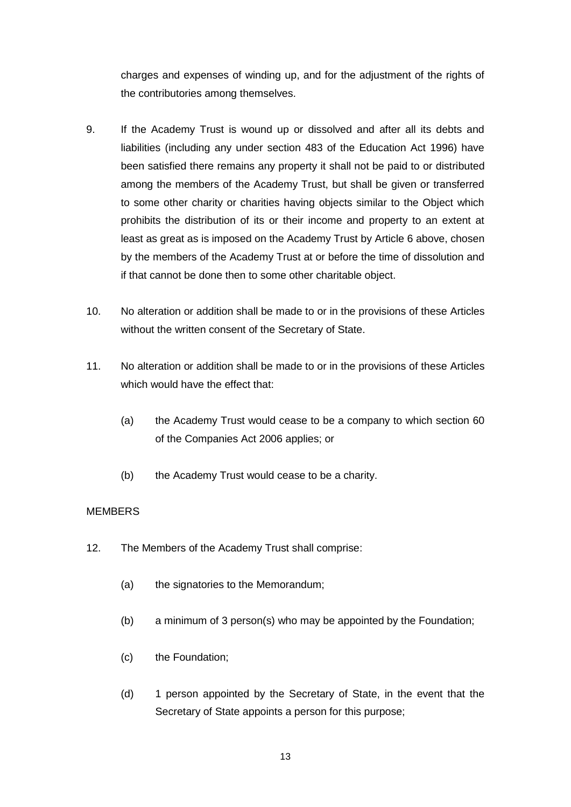charges and expenses of winding up, and for the adjustment of the rights of the contributories among themselves.

- 9. If the Academy Trust is wound up or dissolved and after all its debts and liabilities (including any under section 483 of the Education Act 1996) have been satisfied there remains any property it shall not be paid to or distributed among the members of the Academy Trust, but shall be given or transferred to some other charity or charities having objects similar to the Object which prohibits the distribution of its or their income and property to an extent at least as great as is imposed on the Academy Trust by Article [6](#page-7-1) above, chosen by the members of the Academy Trust at or before the time of dissolution and if that cannot be done then to some other charitable object.
- 10. No alteration or addition shall be made to or in the provisions of these Articles without the written consent of the Secretary of State.
- 11. No alteration or addition shall be made to or in the provisions of these Articles which would have the effect that:
	- (a) the Academy Trust would cease to be a company to which section 60 of the Companies Act 2006 applies; or
	- (b) the Academy Trust would cease to be a charity.

# **MEMBERS**

- <span id="page-12-1"></span><span id="page-12-0"></span>12. The Members of the Academy Trust shall comprise:
	- (a) the signatories to the Memorandum:
	- (b) a minimum of 3 person(s) who may be appointed by the Foundation;
	- (c) the Foundation;
	- (d) 1 person appointed by the Secretary of State, in the event that the Secretary of State appoints a person for this purpose;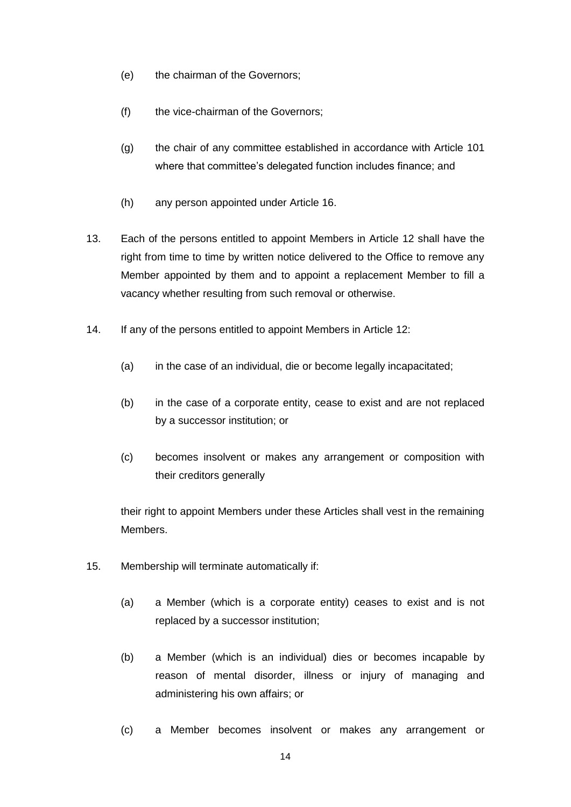- (e) the chairman of the Governors;
- (f) the vice-chairman of the Governors;
- (g) the chair of any committee established in accordance with Article [101](#page-31-0) where that committee's delegated function includes finance; and
- (h) any person appointed under Article [16.](#page-14-0)
- <span id="page-13-0"></span>13. Each of the persons entitled to appoint Members in Article [12](#page-12-0) shall have the right from time to time by written notice delivered to the Office to remove any Member appointed by them and to appoint a replacement Member to fill a vacancy whether resulting from such removal or otherwise.
- 14. If any of the persons entitled to appoint Members in Article [12:](#page-12-0)
	- (a) in the case of an individual, die or become legally incapacitated;
	- (b) in the case of a corporate entity, cease to exist and are not replaced by a successor institution; or
	- (c) becomes insolvent or makes any arrangement or composition with their creditors generally

their right to appoint Members under these Articles shall vest in the remaining Members.

- 15. Membership will terminate automatically if:
	- (a) a Member (which is a corporate entity) ceases to exist and is not replaced by a successor institution;
	- (b) a Member (which is an individual) dies or becomes incapable by reason of mental disorder, illness or injury of managing and administering his own affairs; or
	- (c) a Member becomes insolvent or makes any arrangement or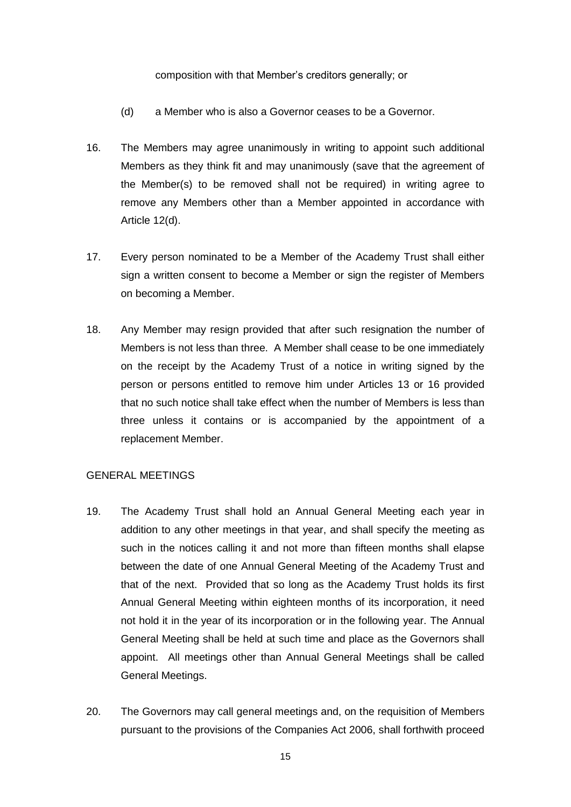#### composition with that Member's creditors generally; or

- (d) a Member who is also a Governor ceases to be a Governor.
- <span id="page-14-0"></span>16. The Members may agree unanimously in writing to appoint such additional Members as they think fit and may unanimously (save that the agreement of the Member(s) to be removed shall not be required) in writing agree to remove any Members other than a Member appointed in accordance with Article [12\(d\).](#page-12-1)
- 17. Every person nominated to be a Member of the Academy Trust shall either sign a written consent to become a Member or sign the register of Members on becoming a Member.
- 18. Any Member may resign provided that after such resignation the number of Members is not less than three. A Member shall cease to be one immediately on the receipt by the Academy Trust of a notice in writing signed by the person or persons entitled to remove him under Articles [13](#page-13-0) or [16](#page-14-0) provided that no such notice shall take effect when the number of Members is less than three unless it contains or is accompanied by the appointment of a replacement Member.

#### GENERAL MEETINGS

- 19. The Academy Trust shall hold an Annual General Meeting each year in addition to any other meetings in that year, and shall specify the meeting as such in the notices calling it and not more than fifteen months shall elapse between the date of one Annual General Meeting of the Academy Trust and that of the next. Provided that so long as the Academy Trust holds its first Annual General Meeting within eighteen months of its incorporation, it need not hold it in the year of its incorporation or in the following year. The Annual General Meeting shall be held at such time and place as the Governors shall appoint. All meetings other than Annual General Meetings shall be called General Meetings.
- 20. The Governors may call general meetings and, on the requisition of Members pursuant to the provisions of the Companies Act 2006, shall forthwith proceed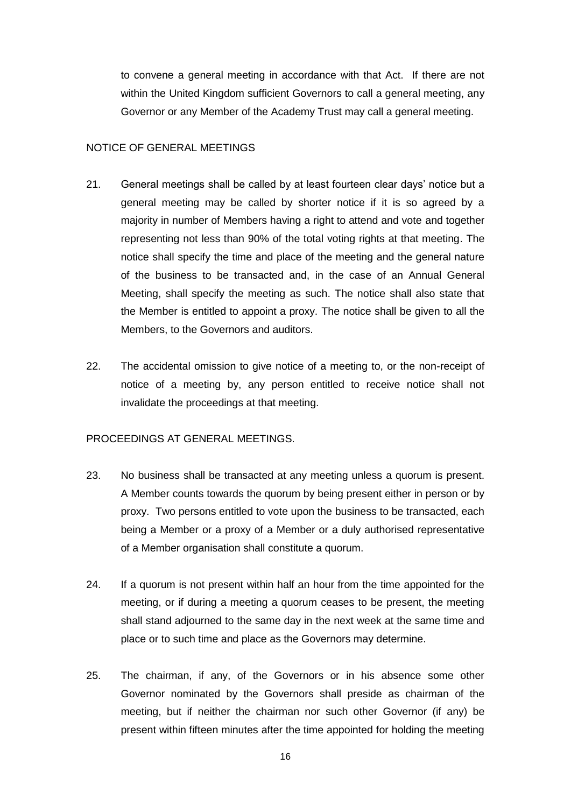to convene a general meeting in accordance with that Act. If there are not within the United Kingdom sufficient Governors to call a general meeting, any Governor or any Member of the Academy Trust may call a general meeting.

# NOTICE OF GENERAL MEETINGS

- 21. General meetings shall be called by at least fourteen clear days' notice but a general meeting may be called by shorter notice if it is so agreed by a majority in number of Members having a right to attend and vote and together representing not less than 90% of the total voting rights at that meeting. The notice shall specify the time and place of the meeting and the general nature of the business to be transacted and, in the case of an Annual General Meeting, shall specify the meeting as such. The notice shall also state that the Member is entitled to appoint a proxy. The notice shall be given to all the Members, to the Governors and auditors.
- 22. The accidental omission to give notice of a meeting to, or the non-receipt of notice of a meeting by, any person entitled to receive notice shall not invalidate the proceedings at that meeting.

# PROCEEDINGS AT GENERAL MEETINGS.

- 23. No business shall be transacted at any meeting unless a quorum is present. A Member counts towards the quorum by being present either in person or by proxy. Two persons entitled to vote upon the business to be transacted, each being a Member or a proxy of a Member or a duly authorised representative of a Member organisation shall constitute a quorum.
- 24. If a quorum is not present within half an hour from the time appointed for the meeting, or if during a meeting a quorum ceases to be present, the meeting shall stand adjourned to the same day in the next week at the same time and place or to such time and place as the Governors may determine.
- 25. The chairman, if any, of the Governors or in his absence some other Governor nominated by the Governors shall preside as chairman of the meeting, but if neither the chairman nor such other Governor (if any) be present within fifteen minutes after the time appointed for holding the meeting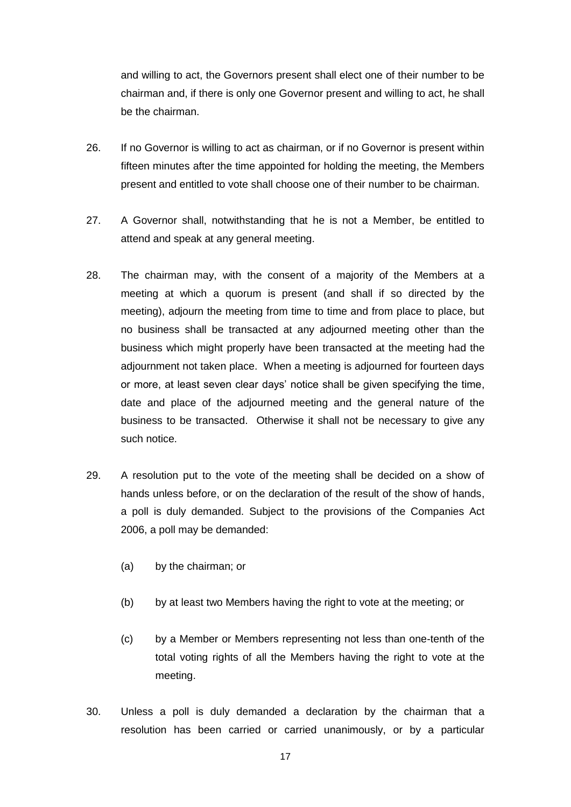and willing to act, the Governors present shall elect one of their number to be chairman and, if there is only one Governor present and willing to act, he shall be the chairman.

- 26. If no Governor is willing to act as chairman, or if no Governor is present within fifteen minutes after the time appointed for holding the meeting, the Members present and entitled to vote shall choose one of their number to be chairman.
- 27. A Governor shall, notwithstanding that he is not a Member, be entitled to attend and speak at any general meeting.
- 28. The chairman may, with the consent of a majority of the Members at a meeting at which a quorum is present (and shall if so directed by the meeting), adjourn the meeting from time to time and from place to place, but no business shall be transacted at any adjourned meeting other than the business which might properly have been transacted at the meeting had the adjournment not taken place. When a meeting is adjourned for fourteen days or more, at least seven clear days' notice shall be given specifying the time, date and place of the adjourned meeting and the general nature of the business to be transacted. Otherwise it shall not be necessary to give any such notice.
- 29. A resolution put to the vote of the meeting shall be decided on a show of hands unless before, or on the declaration of the result of the show of hands, a poll is duly demanded. Subject to the provisions of the Companies Act 2006, a poll may be demanded:
	- (a) by the chairman; or
	- (b) by at least two Members having the right to vote at the meeting; or
	- (c) by a Member or Members representing not less than one-tenth of the total voting rights of all the Members having the right to vote at the meeting.
- 30. Unless a poll is duly demanded a declaration by the chairman that a resolution has been carried or carried unanimously, or by a particular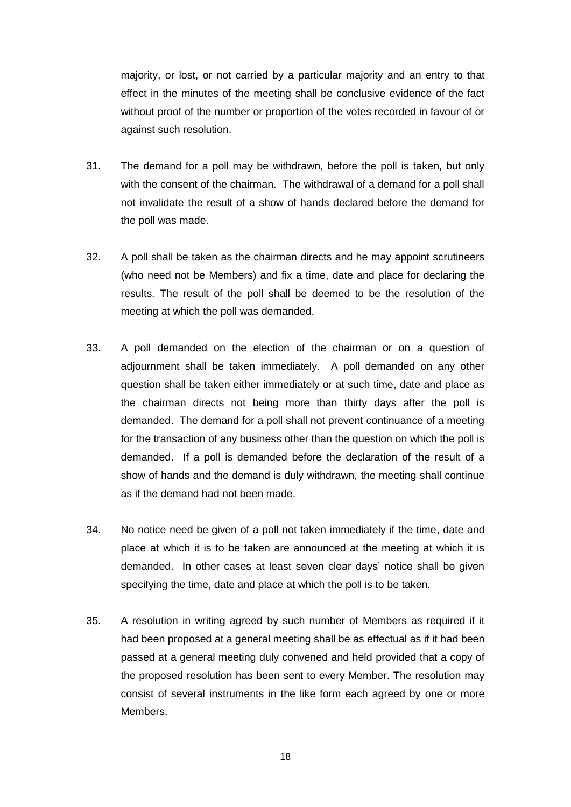majority, or lost, or not carried by a particular majority and an entry to that effect in the minutes of the meeting shall be conclusive evidence of the fact without proof of the number or proportion of the votes recorded in favour of or against such resolution.

- 31. The demand for a poll may be withdrawn, before the poll is taken, but only with the consent of the chairman. The withdrawal of a demand for a poll shall not invalidate the result of a show of hands declared before the demand for the poll was made.
- 32. A poll shall be taken as the chairman directs and he may appoint scrutineers (who need not be Members) and fix a time, date and place for declaring the results. The result of the poll shall be deemed to be the resolution of the meeting at which the poll was demanded.
- 33. A poll demanded on the election of the chairman or on a question of adjournment shall be taken immediately. A poll demanded on any other question shall be taken either immediately or at such time, date and place as the chairman directs not being more than thirty days after the poll is demanded. The demand for a poll shall not prevent continuance of a meeting for the transaction of any business other than the question on which the poll is demanded. If a poll is demanded before the declaration of the result of a show of hands and the demand is duly withdrawn, the meeting shall continue as if the demand had not been made.
- 34. No notice need be given of a poll not taken immediately if the time, date and place at which it is to be taken are announced at the meeting at which it is demanded. In other cases at least seven clear days' notice shall be given specifying the time, date and place at which the poll is to be taken.
- 35. A resolution in writing agreed by such number of Members as required if it had been proposed at a general meeting shall be as effectual as if it had been passed at a general meeting duly convened and held provided that a copy of the proposed resolution has been sent to every Member. The resolution may consist of several instruments in the like form each agreed by one or more Members.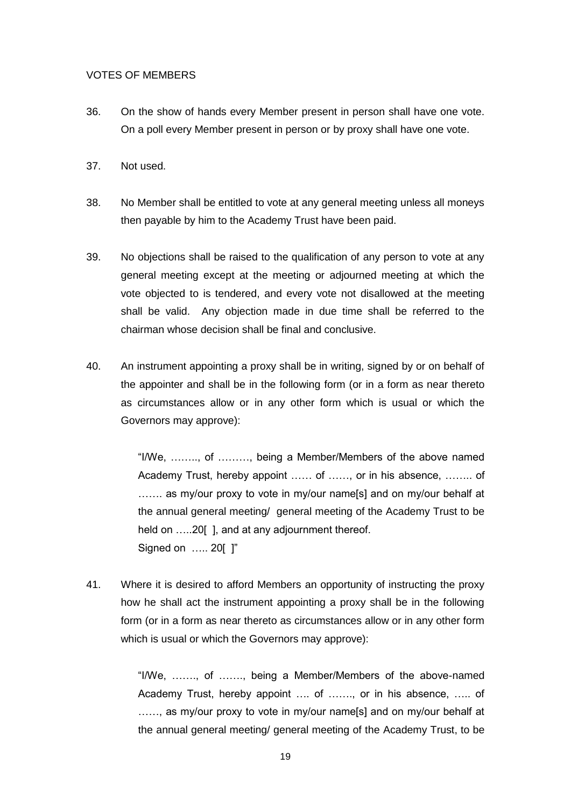#### VOTES OF MEMBERS

- 36. On the show of hands every Member present in person shall have one vote. On a poll every Member present in person or by proxy shall have one vote.
- 37. Not used.
- 38. No Member shall be entitled to vote at any general meeting unless all moneys then payable by him to the Academy Trust have been paid.
- 39. No objections shall be raised to the qualification of any person to vote at any general meeting except at the meeting or adjourned meeting at which the vote objected to is tendered, and every vote not disallowed at the meeting shall be valid. Any objection made in due time shall be referred to the chairman whose decision shall be final and conclusive.
- 40. An instrument appointing a proxy shall be in writing, signed by or on behalf of the appointer and shall be in the following form (or in a form as near thereto as circumstances allow or in any other form which is usual or which the Governors may approve):

"I/We, …….., of ………, being a Member/Members of the above named Academy Trust, hereby appoint …… of ……, or in his absence, …….. of ....... as my/our proxy to vote in my/our name[s] and on my/our behalf at the annual general meeting/ general meeting of the Academy Trust to be held on .....20[]. and at any adjournment thereof. Signed on ….. 20[ ]"

41. Where it is desired to afford Members an opportunity of instructing the proxy how he shall act the instrument appointing a proxy shall be in the following form (or in a form as near thereto as circumstances allow or in any other form which is usual or which the Governors may approve):

> "I/We, ……., of ……., being a Member/Members of the above-named Academy Trust, hereby appoint …. of ……., or in his absence, ….. of ......, as my/our proxy to vote in my/our name[s] and on my/our behalf at the annual general meeting/ general meeting of the Academy Trust, to be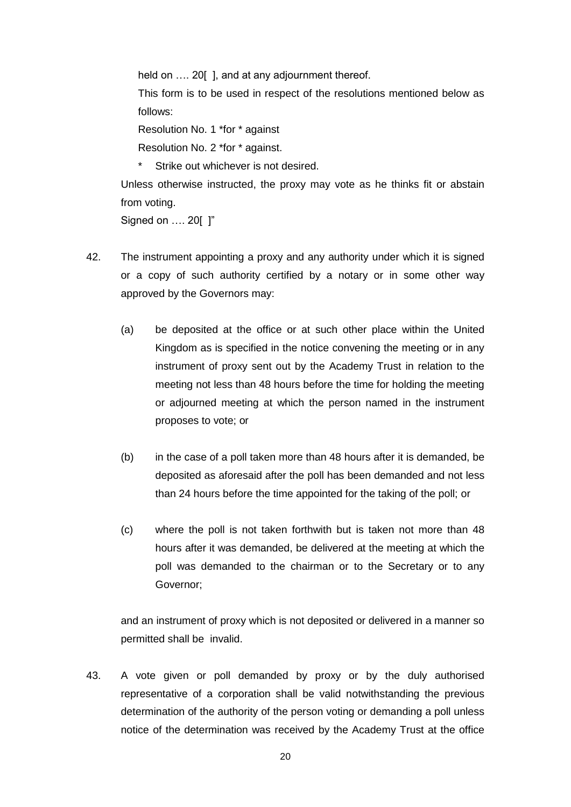held on .... 20[], and at any adjournment thereof.

This form is to be used in respect of the resolutions mentioned below as follows:

Resolution No. 1 \*for \* against

Resolution No. 2 \*for \* against.

\* Strike out whichever is not desired.

Unless otherwise instructed, the proxy may vote as he thinks fit or abstain from voting.

Signed on …. 20[ ]"

- 42. The instrument appointing a proxy and any authority under which it is signed or a copy of such authority certified by a notary or in some other way approved by the Governors may:
	- (a) be deposited at the office or at such other place within the United Kingdom as is specified in the notice convening the meeting or in any instrument of proxy sent out by the Academy Trust in relation to the meeting not less than 48 hours before the time for holding the meeting or adjourned meeting at which the person named in the instrument proposes to vote; or
	- (b) in the case of a poll taken more than 48 hours after it is demanded, be deposited as aforesaid after the poll has been demanded and not less than 24 hours before the time appointed for the taking of the poll; or
	- (c) where the poll is not taken forthwith but is taken not more than 48 hours after it was demanded, be delivered at the meeting at which the poll was demanded to the chairman or to the Secretary or to any Governor;

and an instrument of proxy which is not deposited or delivered in a manner so permitted shall be invalid.

43. A vote given or poll demanded by proxy or by the duly authorised representative of a corporation shall be valid notwithstanding the previous determination of the authority of the person voting or demanding a poll unless notice of the determination was received by the Academy Trust at the office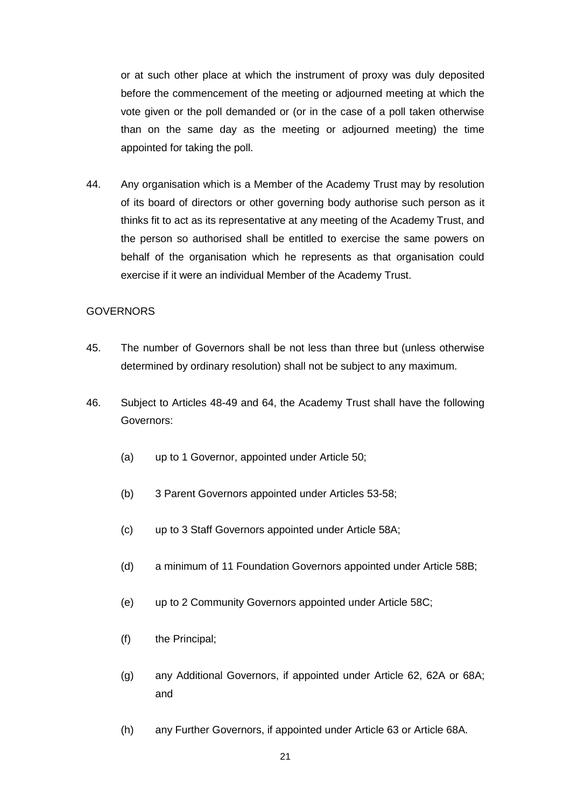or at such other place at which the instrument of proxy was duly deposited before the commencement of the meeting or adjourned meeting at which the vote given or the poll demanded or (or in the case of a poll taken otherwise than on the same day as the meeting or adjourned meeting) the time appointed for taking the poll.

44. Any organisation which is a Member of the Academy Trust may by resolution of its board of directors or other governing body authorise such person as it thinks fit to act as its representative at any meeting of the Academy Trust, and the person so authorised shall be entitled to exercise the same powers on behalf of the organisation which he represents as that organisation could exercise if it were an individual Member of the Academy Trust.

# **GOVERNORS**

- 45. The number of Governors shall be not less than three but (unless otherwise determined by ordinary resolution) shall not be subject to any maximum.
- <span id="page-20-1"></span><span id="page-20-0"></span>46. Subject to Articles [48-](#page-21-2)[49](#page-21-3) and [64,](#page-24-1) the Academy Trust shall have the following Governors:
	- (a) up to 1 Governor, appointed under Article [50;](#page-21-4)
	- (b) 3 Parent Governors appointed under Articles [53](#page-21-0)[-58;](#page-22-0)
	- (c) up to 3 Staff Governors appointed under Article 58A;
	- (d) a minimum of 11 Foundation Governors appointed under Article [58B](#page-22-0);
	- (e) up to 2 Community Governors appointed under Article [58C](#page-22-0);
	- (f) the Principal;
	- (g) any Additional Governors, if appointed under Article [62, 62A](#page-23-0) or [68A](#page-25-0); and
	- (h) any Further Governors, if appointed under Article [63](#page-24-0) or Article [68A](#page-25-0).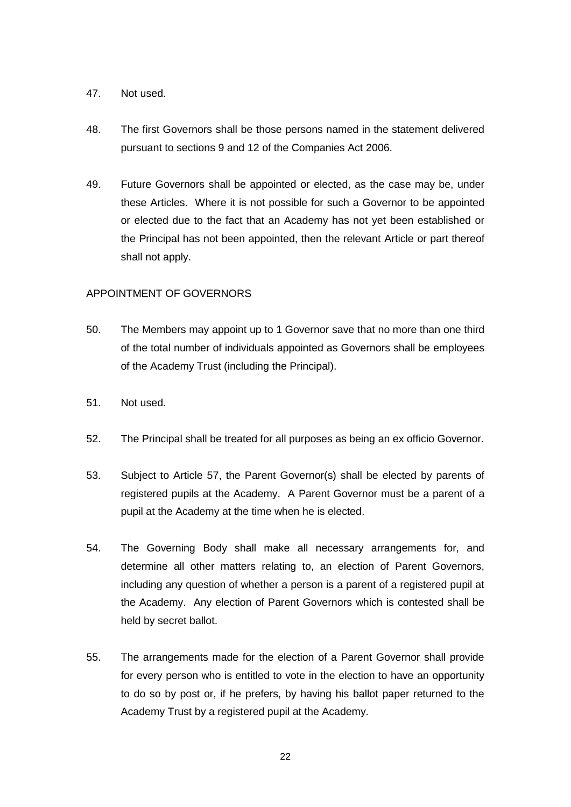# 47. Not used.

- <span id="page-21-2"></span>48. The first Governors shall be those persons named in the statement delivered pursuant to sections 9 and 12 of the Companies Act 2006.
- <span id="page-21-3"></span>49. Future Governors shall be appointed or elected, as the case may be, under these Articles. Where it is not possible for such a Governor to be appointed or elected due to the fact that an Academy has not yet been established or the Principal has not been appointed, then the relevant Article or part thereof shall not apply.

# APPOINTMENT OF GOVERNORS

- <span id="page-21-4"></span>50. The Members may appoint up to 1 Governor save that no more than one third of the total number of individuals appointed as Governors shall be employees of the Academy Trust (including the Principal).
- 51. Not used.
- <span id="page-21-1"></span>52. The Principal shall be treated for all purposes as being an ex officio Governor.
- <span id="page-21-0"></span>53. Subject to Article [57,](#page-22-1) the Parent Governor(s) shall be elected by parents of registered pupils at the Academy. A Parent Governor must be a parent of a pupil at the Academy at the time when he is elected.
- 54. The Governing Body shall make all necessary arrangements for, and determine all other matters relating to, an election of Parent Governors, including any question of whether a person is a parent of a registered pupil at the Academy. Any election of Parent Governors which is contested shall be held by secret ballot.
- 55. The arrangements made for the election of a Parent Governor shall provide for every person who is entitled to vote in the election to have an opportunity to do so by post or, if he prefers, by having his ballot paper returned to the Academy Trust by a registered pupil at the Academy.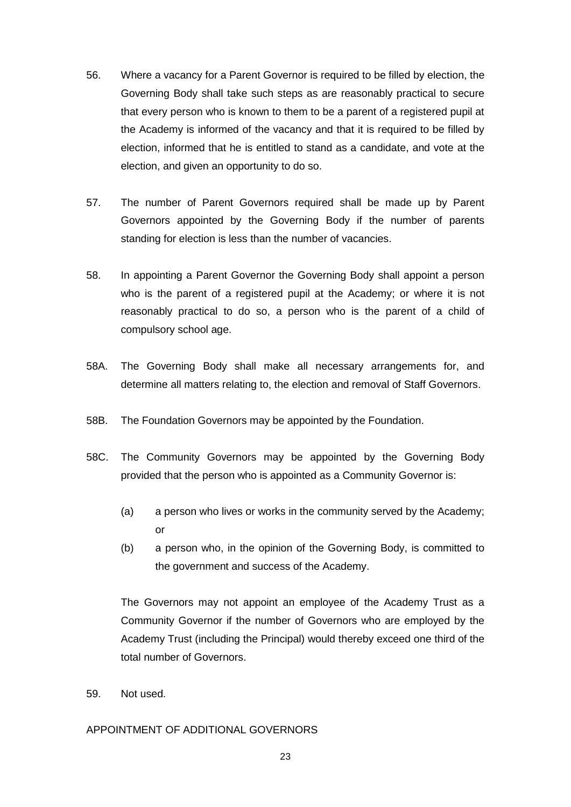- 56. Where a vacancy for a Parent Governor is required to be filled by election, the Governing Body shall take such steps as are reasonably practical to secure that every person who is known to them to be a parent of a registered pupil at the Academy is informed of the vacancy and that it is required to be filled by election, informed that he is entitled to stand as a candidate, and vote at the election, and given an opportunity to do so.
- <span id="page-22-1"></span>57. The number of Parent Governors required shall be made up by Parent Governors appointed by the Governing Body if the number of parents standing for election is less than the number of vacancies.
- <span id="page-22-0"></span>58. In appointing a Parent Governor the Governing Body shall appoint a person who is the parent of a registered pupil at the Academy; or where it is not reasonably practical to do so, a person who is the parent of a child of compulsory school age.
- [58A](#page-22-0). The Governing Body shall make all necessary arrangements for, and determine all matters relating to, the election and removal of Staff Governors.
- [58B](#page-22-0). The Foundation Governors may be appointed by the Foundation.
- [58C](#page-22-0). The Community Governors may be appointed by the Governing Body provided that the person who is appointed as a Community Governor is:
	- (a) a person who lives or works in the community served by the Academy; or
	- (b) a person who, in the opinion of the Governing Body, is committed to the government and success of the Academy.

The Governors may not appoint an employee of the Academy Trust as a Community Governor if the number of Governors who are employed by the Academy Trust (including the Principal) would thereby exceed one third of the total number of Governors.

59. Not used.

# APPOINTMENT OF ADDITIONAL GOVERNORS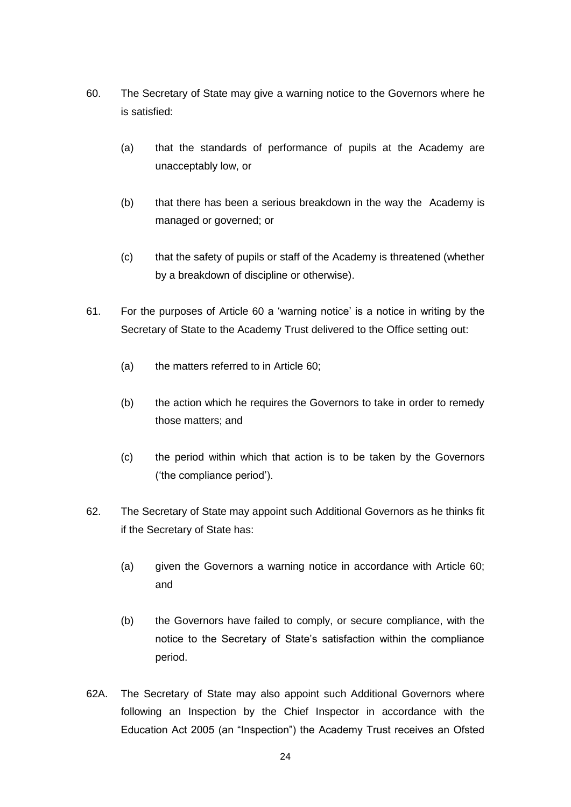- <span id="page-23-1"></span>60. The Secretary of State may give a warning notice to the Governors where he is satisfied:
	- (a) that the standards of performance of pupils at the Academy are unacceptably low, or
	- (b) that there has been a serious breakdown in the way the Academy is managed or governed; or
	- (c) that the safety of pupils or staff of the Academy is threatened (whether by a breakdown of discipline or otherwise).
- 61. For the purposes of Article [60](#page-23-1) a 'warning notice' is a notice in writing by the Secretary of State to the Academy Trust delivered to the Office setting out:
	- (a) the matters referred to in Article [60;](#page-23-1)
	- (b) the action which he requires the Governors to take in order to remedy those matters; and
	- (c) the period within which that action is to be taken by the Governors ('the compliance period').
- <span id="page-23-0"></span>62. The Secretary of State may appoint such Additional Governors as he thinks fit if the Secretary of State has:
	- (a) given the Governors a warning notice in accordance with Article [60;](#page-23-1) and
	- (b) the Governors have failed to comply, or secure compliance, with the notice to the Secretary of State's satisfaction within the compliance period.
- [62A](#page-23-0). The Secretary of State may also appoint such Additional Governors where following an Inspection by the Chief Inspector in accordance with the Education Act 2005 (an "Inspection") the Academy Trust receives an Ofsted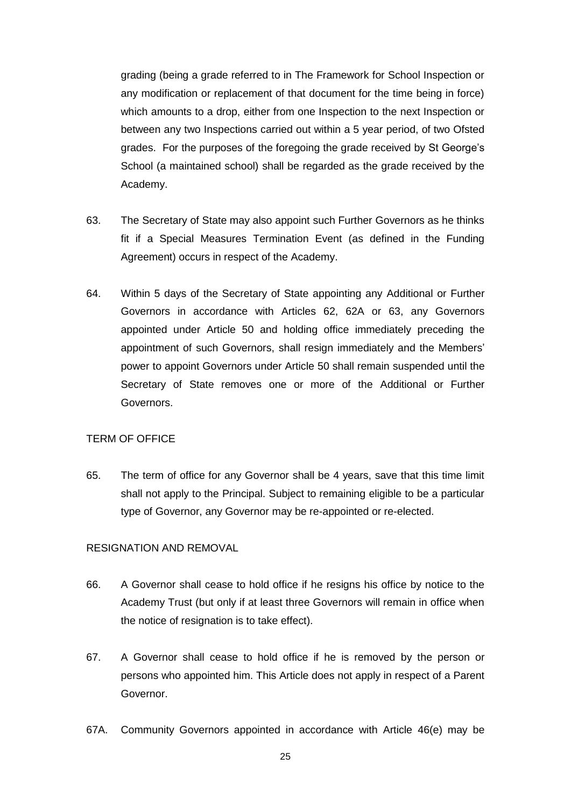grading (being a grade referred to in The Framework for School Inspection or any modification or replacement of that document for the time being in force) which amounts to a drop, either from one Inspection to the next Inspection or between any two Inspections carried out within a 5 year period, of two Ofsted grades. For the purposes of the foregoing the grade received by St George's School (a maintained school) shall be regarded as the grade received by the Academy.

- <span id="page-24-0"></span>63. The Secretary of State may also appoint such Further Governors as he thinks fit if a Special Measures Termination Event (as defined in the Funding Agreement) occurs in respect of the Academy.
- <span id="page-24-1"></span>64. Within 5 days of the Secretary of State appointing any Additional or Further Governors in accordance with Articles [62,](#page-23-0) [62A](#page-23-0) or [63,](#page-24-0) any Governors appointed under Article [50](#page-21-4) and holding office immediately preceding the appointment of such Governors, shall resign immediately and the Members' power to appoint Governors under Article [50](#page-21-4) shall remain suspended until the Secretary of State removes one or more of the Additional or Further Governors.

# TERM OF OFFICE

65. The term of office for any Governor shall be 4 years, save that this time limit shall not apply to the Principal. Subject to remaining eligible to be a particular type of Governor, any Governor may be re-appointed or re-elected.

# RESIGNATION AND REMOVAL

- 66. A Governor shall cease to hold office if he resigns his office by notice to the Academy Trust (but only if at least three Governors will remain in office when the notice of resignation is to take effect).
- <span id="page-24-2"></span>67. A Governor shall cease to hold office if he is removed by the person or persons who appointed him. This Article does not apply in respect of a Parent Governor.
- [67A](#page-24-2). Community Governors appointed in accordance with Article [46\(e\)](#page-20-1) may be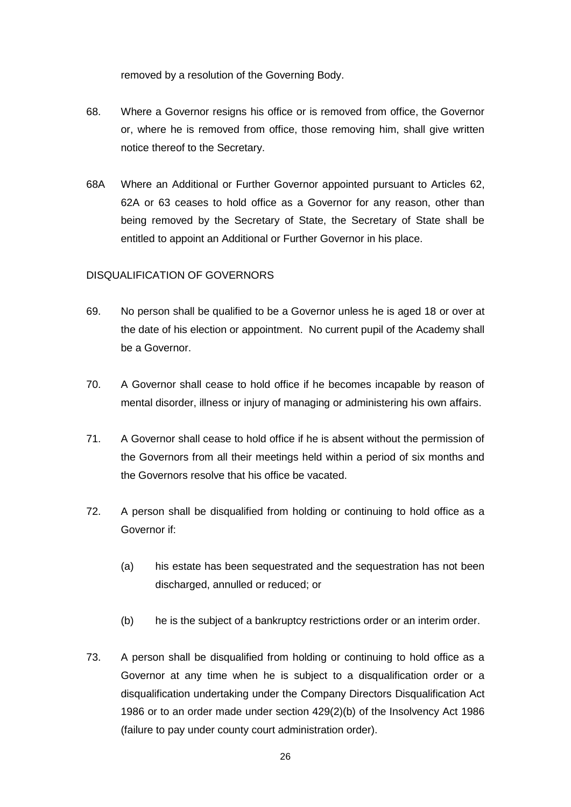removed by a resolution of the Governing Body.

- <span id="page-25-0"></span>68. Where a Governor resigns his office or is removed from office, the Governor or, where he is removed from office, those removing him, shall give written notice thereof to the Secretary.
- [68A](#page-25-0) Where an Additional or Further Governor appointed pursuant to Articles [62,](#page-23-0) [62A](#page-23-0) or [63](#page-24-0) ceases to hold office as a Governor for any reason, other than being removed by the Secretary of State, the Secretary of State shall be entitled to appoint an Additional or Further Governor in his place.

# DISQUALIFICATION OF GOVERNORS

- <span id="page-25-1"></span>69. No person shall be qualified to be a Governor unless he is aged 18 or over at the date of his election or appointment. No current pupil of the Academy shall be a Governor.
- 70. A Governor shall cease to hold office if he becomes incapable by reason of mental disorder, illness or injury of managing or administering his own affairs.
- 71. A Governor shall cease to hold office if he is absent without the permission of the Governors from all their meetings held within a period of six months and the Governors resolve that his office be vacated.
- 72. A person shall be disqualified from holding or continuing to hold office as a Governor if:
	- (a) his estate has been sequestrated and the sequestration has not been discharged, annulled or reduced; or
	- (b) he is the subject of a bankruptcy restrictions order or an interim order.
- 73. A person shall be disqualified from holding or continuing to hold office as a Governor at any time when he is subject to a disqualification order or a disqualification undertaking under the Company Directors Disqualification Act 1986 or to an order made under section 429(2)(b) of the Insolvency Act 1986 (failure to pay under county court administration order).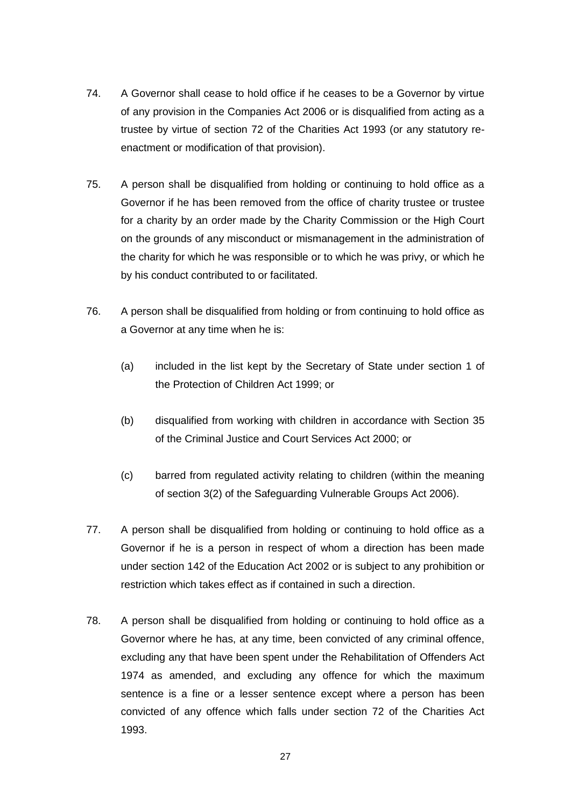- 74. A Governor shall cease to hold office if he ceases to be a Governor by virtue of any provision in the Companies Act 2006 or is disqualified from acting as a trustee by virtue of section 72 of the Charities Act 1993 (or any statutory reenactment or modification of that provision).
- 75. A person shall be disqualified from holding or continuing to hold office as a Governor if he has been removed from the office of charity trustee or trustee for a charity by an order made by the Charity Commission or the High Court on the grounds of any misconduct or mismanagement in the administration of the charity for which he was responsible or to which he was privy, or which he by his conduct contributed to or facilitated.
- 76. A person shall be disqualified from holding or from continuing to hold office as a Governor at any time when he is:
	- (a) included in the list kept by the Secretary of State under section 1 of the Protection of Children Act 1999; or
	- (b) disqualified from working with children in accordance with Section 35 of the Criminal Justice and Court Services Act 2000; or
	- (c) barred from regulated activity relating to children (within the meaning of section 3(2) of the Safeguarding Vulnerable Groups Act 2006).
- 77. A person shall be disqualified from holding or continuing to hold office as a Governor if he is a person in respect of whom a direction has been made under section 142 of the Education Act 2002 or is subject to any prohibition or restriction which takes effect as if contained in such a direction.
- 78. A person shall be disqualified from holding or continuing to hold office as a Governor where he has, at any time, been convicted of any criminal offence, excluding any that have been spent under the Rehabilitation of Offenders Act 1974 as amended, and excluding any offence for which the maximum sentence is a fine or a lesser sentence except where a person has been convicted of any offence which falls under section 72 of the Charities Act 1993.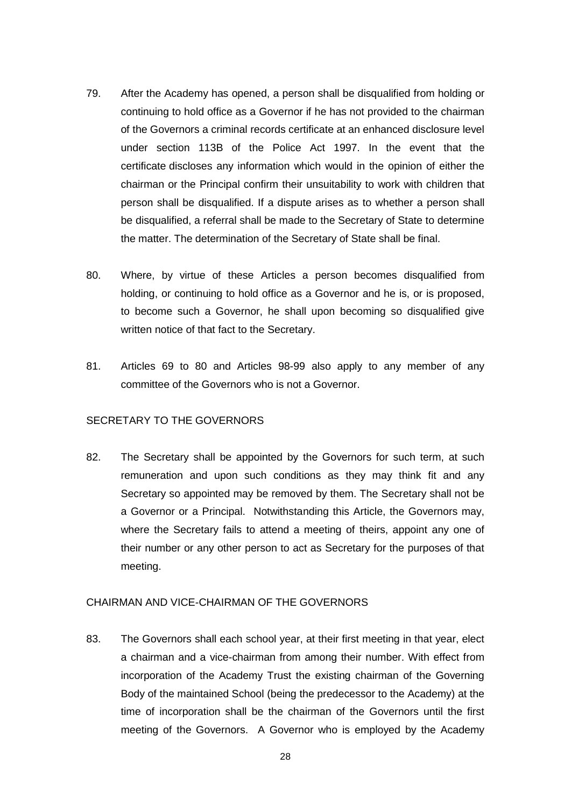- 79. After the Academy has opened, a person shall be disqualified from holding or continuing to hold office as a Governor if he has not provided to the chairman of the Governors a criminal records certificate at an enhanced disclosure level under section 113B of the Police Act 1997. In the event that the certificate discloses any information which would in the opinion of either the chairman or the Principal confirm their unsuitability to work with children that person shall be disqualified. If a dispute arises as to whether a person shall be disqualified, a referral shall be made to the Secretary of State to determine the matter. The determination of the Secretary of State shall be final.
- <span id="page-27-0"></span>80. Where, by virtue of these Articles a person becomes disqualified from holding, or continuing to hold office as a Governor and he is, or is proposed, to become such a Governor, he shall upon becoming so disqualified give written notice of that fact to the Secretary.
- 81. Articles [69](#page-25-1) to [80](#page-27-0) and Articles [98](#page-30-0)[-99](#page-30-1) also apply to any member of any committee of the Governors who is not a Governor.

## SECRETARY TO THE GOVERNORS

82. The Secretary shall be appointed by the Governors for such term, at such remuneration and upon such conditions as they may think fit and any Secretary so appointed may be removed by them. The Secretary shall not be a Governor or a Principal. Notwithstanding this Article, the Governors may, where the Secretary fails to attend a meeting of theirs, appoint any one of their number or any other person to act as Secretary for the purposes of that meeting.

# CHAIRMAN AND VICE-CHAIRMAN OF THE GOVERNORS

83. The Governors shall each school year, at their first meeting in that year, elect a chairman and a vice-chairman from among their number. With effect from incorporation of the Academy Trust the existing chairman of the Governing Body of the maintained School (being the predecessor to the Academy) at the time of incorporation shall be the chairman of the Governors until the first meeting of the Governors. A Governor who is employed by the Academy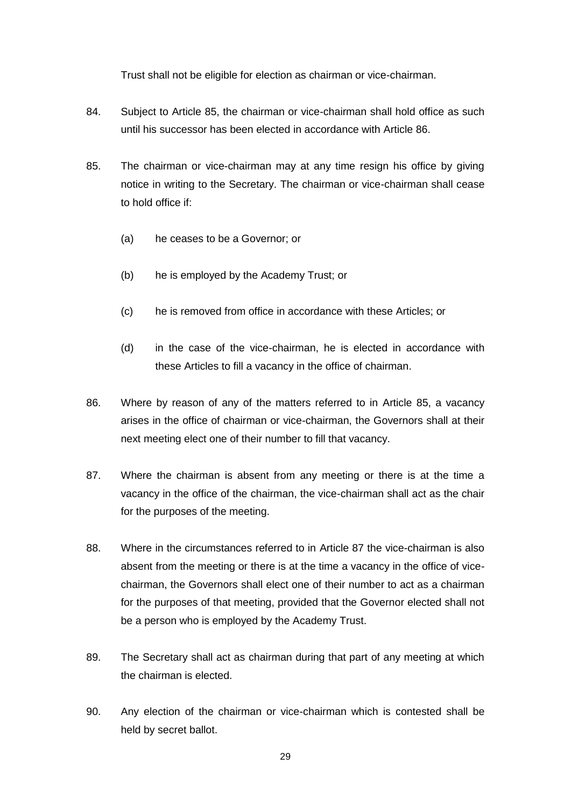Trust shall not be eligible for election as chairman or vice-chairman.

- 84. Subject to Article [85,](#page-28-0) the chairman or vice-chairman shall hold office as such until his successor has been elected in accordance with Article [86.](#page-28-1)
- <span id="page-28-0"></span>85. The chairman or vice-chairman may at any time resign his office by giving notice in writing to the Secretary. The chairman or vice-chairman shall cease to hold office if:
	- (a) he ceases to be a Governor; or
	- (b) he is employed by the Academy Trust; or
	- (c) he is removed from office in accordance with these Articles; or
	- (d) in the case of the vice-chairman, he is elected in accordance with these Articles to fill a vacancy in the office of chairman.
- <span id="page-28-1"></span>86. Where by reason of any of the matters referred to in Article [85,](#page-28-0) a vacancy arises in the office of chairman or vice-chairman, the Governors shall at their next meeting elect one of their number to fill that vacancy.
- <span id="page-28-2"></span>87. Where the chairman is absent from any meeting or there is at the time a vacancy in the office of the chairman, the vice-chairman shall act as the chair for the purposes of the meeting.
- 88. Where in the circumstances referred to in Article [87](#page-28-2) the vice-chairman is also absent from the meeting or there is at the time a vacancy in the office of vicechairman, the Governors shall elect one of their number to act as a chairman for the purposes of that meeting, provided that the Governor elected shall not be a person who is employed by the Academy Trust.
- 89. The Secretary shall act as chairman during that part of any meeting at which the chairman is elected.
- 90. Any election of the chairman or vice-chairman which is contested shall be held by secret ballot.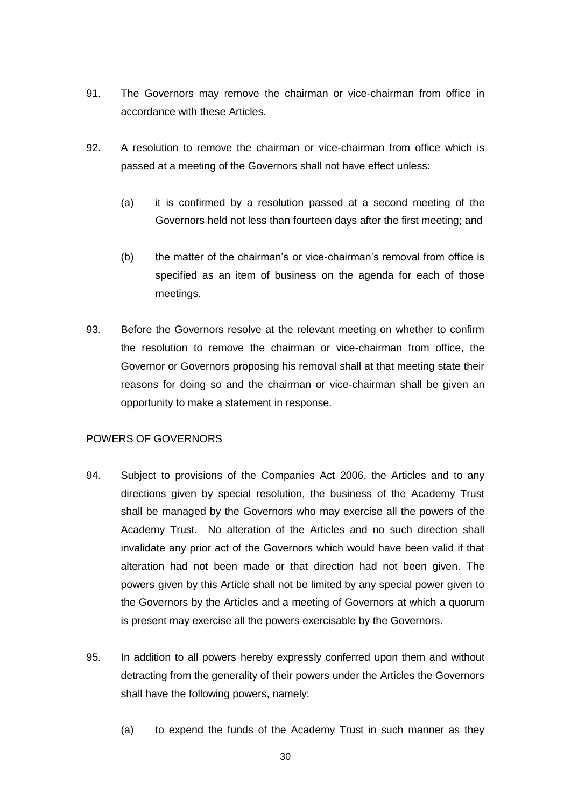- <span id="page-29-0"></span>91. The Governors may remove the chairman or vice-chairman from office in accordance with these Articles.
- 92. A resolution to remove the chairman or vice-chairman from office which is passed at a meeting of the Governors shall not have effect unless:
	- (a) it is confirmed by a resolution passed at a second meeting of the Governors held not less than fourteen days after the first meeting; and
	- (b) the matter of the chairman's or vice-chairman's removal from office is specified as an item of business on the agenda for each of those meetings.
- 93. Before the Governors resolve at the relevant meeting on whether to confirm the resolution to remove the chairman or vice-chairman from office, the Governor or Governors proposing his removal shall at that meeting state their reasons for doing so and the chairman or vice-chairman shall be given an opportunity to make a statement in response.

# POWERS OF GOVERNORS

- 94. Subject to provisions of the Companies Act 2006, the Articles and to any directions given by special resolution, the business of the Academy Trust shall be managed by the Governors who may exercise all the powers of the Academy Trust. No alteration of the Articles and no such direction shall invalidate any prior act of the Governors which would have been valid if that alteration had not been made or that direction had not been given. The powers given by this Article shall not be limited by any special power given to the Governors by the Articles and a meeting of Governors at which a quorum is present may exercise all the powers exercisable by the Governors.
- 95. In addition to all powers hereby expressly conferred upon them and without detracting from the generality of their powers under the Articles the Governors shall have the following powers, namely:
	- (a) to expend the funds of the Academy Trust in such manner as they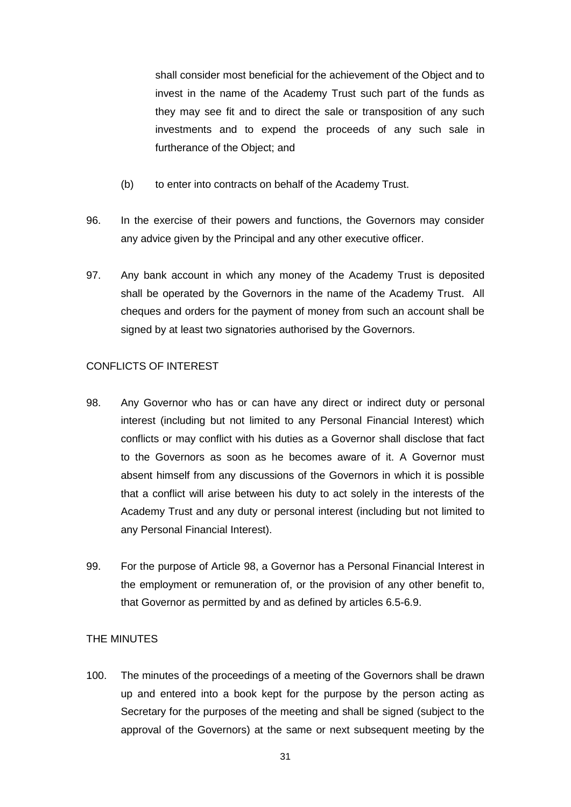shall consider most beneficial for the achievement of the Object and to invest in the name of the Academy Trust such part of the funds as they may see fit and to direct the sale or transposition of any such investments and to expend the proceeds of any such sale in furtherance of the Object; and

- (b) to enter into contracts on behalf of the Academy Trust.
- 96. In the exercise of their powers and functions, the Governors may consider any advice given by the Principal and any other executive officer.
- 97. Any bank account in which any money of the Academy Trust is deposited shall be operated by the Governors in the name of the Academy Trust. All cheques and orders for the payment of money from such an account shall be signed by at least two signatories authorised by the Governors.

# CONFLICTS OF INTEREST

- <span id="page-30-0"></span>98. Any Governor who has or can have any direct or indirect duty or personal interest (including but not limited to any Personal Financial Interest) which conflicts or may conflict with his duties as a Governor shall disclose that fact to the Governors as soon as he becomes aware of it. A Governor must absent himself from any discussions of the Governors in which it is possible that a conflict will arise between his duty to act solely in the interests of the Academy Trust and any duty or personal interest (including but not limited to any Personal Financial Interest).
- <span id="page-30-1"></span>99. For the purpose of Article [98,](#page-30-0) a Governor has a Personal Financial Interest in the employment or remuneration of, or the provision of any other benefit to, that Governor as permitted by and as defined by articles [6.5](#page-8-1)[-6.9.](#page-11-0)

# THE MINUTES

100. The minutes of the proceedings of a meeting of the Governors shall be drawn up and entered into a book kept for the purpose by the person acting as Secretary for the purposes of the meeting and shall be signed (subject to the approval of the Governors) at the same or next subsequent meeting by the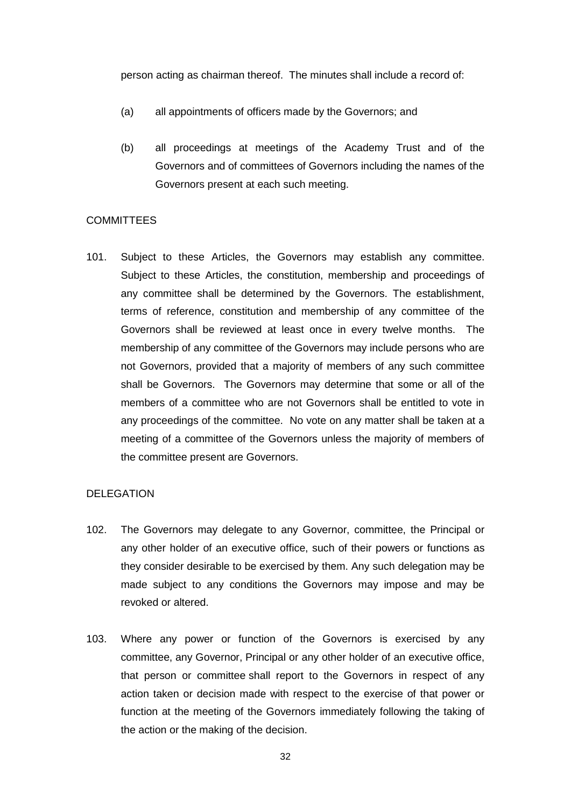person acting as chairman thereof. The minutes shall include a record of:

- (a) all appointments of officers made by the Governors; and
- (b) all proceedings at meetings of the Academy Trust and of the Governors and of committees of Governors including the names of the Governors present at each such meeting.

#### **COMMITTEES**

<span id="page-31-0"></span>101. Subject to these Articles, the Governors may establish any committee. Subject to these Articles, the constitution, membership and proceedings of any committee shall be determined by the Governors. The establishment, terms of reference, constitution and membership of any committee of the Governors shall be reviewed at least once in every twelve months. The membership of any committee of the Governors may include persons who are not Governors, provided that a majority of members of any such committee shall be Governors. The Governors may determine that some or all of the members of a committee who are not Governors shall be entitled to vote in any proceedings of the committee. No vote on any matter shall be taken at a meeting of a committee of the Governors unless the majority of members of the committee present are Governors.

#### DELEGATION

- 102. The Governors may delegate to any Governor, committee, the Principal or any other holder of an executive office, such of their powers or functions as they consider desirable to be exercised by them. Any such delegation may be made subject to any conditions the Governors may impose and may be revoked or altered.
- 103. Where any power or function of the Governors is exercised by any committee, any Governor, Principal or any other holder of an executive office, that person or committee shall report to the Governors in respect of any action taken or decision made with respect to the exercise of that power or function at the meeting of the Governors immediately following the taking of the action or the making of the decision.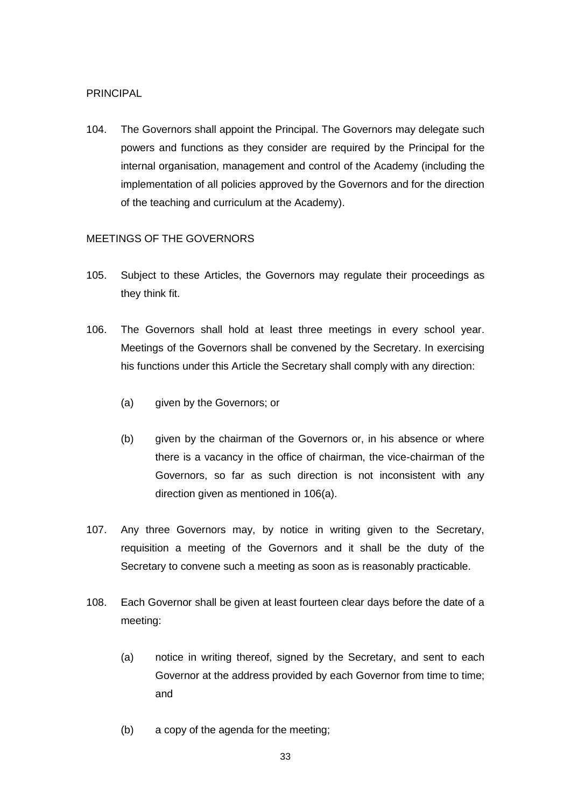# PRINCIPAL

104. The Governors shall appoint the Principal. The Governors may delegate such powers and functions as they consider are required by the Principal for the internal organisation, management and control of the Academy (including the implementation of all policies approved by the Governors and for the direction of the teaching and curriculum at the Academy).

# MEETINGS OF THE GOVERNORS

- 105. Subject to these Articles, the Governors may regulate their proceedings as they think fit.
- <span id="page-32-0"></span>106. The Governors shall hold at least three meetings in every school year. Meetings of the Governors shall be convened by the Secretary. In exercising his functions under this Article the Secretary shall comply with any direction:
	- (a) given by the Governors; or
	- (b) given by the chairman of the Governors or, in his absence or where there is a vacancy in the office of chairman, the vice-chairman of the Governors, so far as such direction is not inconsistent with any direction given as mentioned in [106\(a\).](#page-32-0)
- 107. Any three Governors may, by notice in writing given to the Secretary, requisition a meeting of the Governors and it shall be the duty of the Secretary to convene such a meeting as soon as is reasonably practicable.
- 108. Each Governor shall be given at least fourteen clear days before the date of a meeting:
	- (a) notice in writing thereof, signed by the Secretary, and sent to each Governor at the address provided by each Governor from time to time; and
	- (b) a copy of the agenda for the meeting;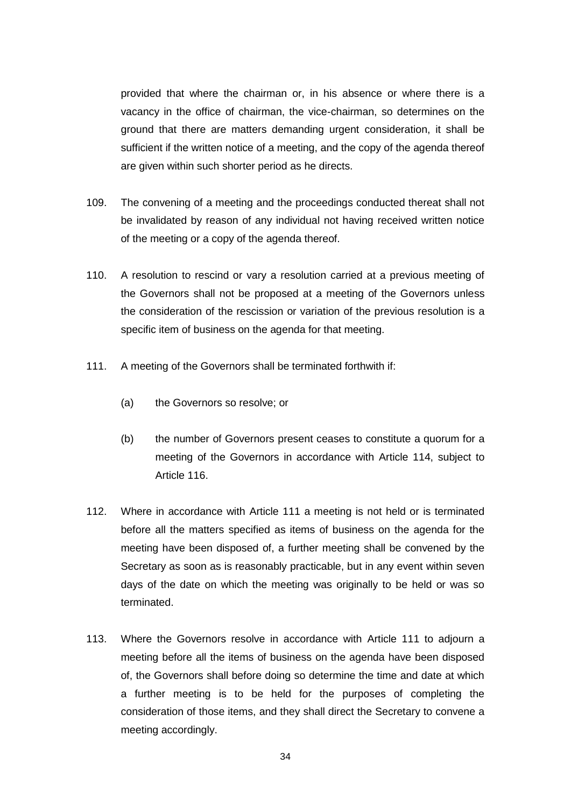provided that where the chairman or, in his absence or where there is a vacancy in the office of chairman, the vice-chairman, so determines on the ground that there are matters demanding urgent consideration, it shall be sufficient if the written notice of a meeting, and the copy of the agenda thereof are given within such shorter period as he directs.

- 109. The convening of a meeting and the proceedings conducted thereat shall not be invalidated by reason of any individual not having received written notice of the meeting or a copy of the agenda thereof.
- 110. A resolution to rescind or vary a resolution carried at a previous meeting of the Governors shall not be proposed at a meeting of the Governors unless the consideration of the rescission or variation of the previous resolution is a specific item of business on the agenda for that meeting.
- <span id="page-33-0"></span>111. A meeting of the Governors shall be terminated forthwith if:
	- (a) the Governors so resolve; or
	- (b) the number of Governors present ceases to constitute a quorum for a meeting of the Governors in accordance with Article [114,](#page-34-0) subject to Article [116.](#page-34-1)
- 112. Where in accordance with Article [111](#page-33-0) a meeting is not held or is terminated before all the matters specified as items of business on the agenda for the meeting have been disposed of, a further meeting shall be convened by the Secretary as soon as is reasonably practicable, but in any event within seven days of the date on which the meeting was originally to be held or was so terminated.
- 113. Where the Governors resolve in accordance with Article [111](#page-33-0) to adjourn a meeting before all the items of business on the agenda have been disposed of, the Governors shall before doing so determine the time and date at which a further meeting is to be held for the purposes of completing the consideration of those items, and they shall direct the Secretary to convene a meeting accordingly.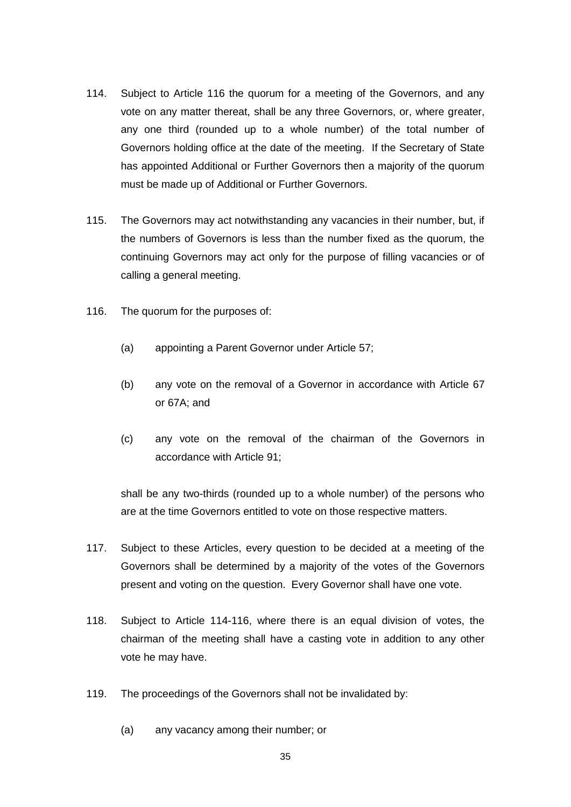- <span id="page-34-0"></span>114. Subject to Article [116](#page-34-1) the quorum for a meeting of the Governors, and any vote on any matter thereat, shall be any three Governors, or, where greater, any one third (rounded up to a whole number) of the total number of Governors holding office at the date of the meeting. If the Secretary of State has appointed Additional or Further Governors then a majority of the quorum must be made up of Additional or Further Governors.
- 115. The Governors may act notwithstanding any vacancies in their number, but, if the numbers of Governors is less than the number fixed as the quorum, the continuing Governors may act only for the purpose of filling vacancies or of calling a general meeting.
- <span id="page-34-1"></span>116. The quorum for the purposes of:
	- (a) appointing a Parent Governor under Article [57;](#page-22-1)
	- (b) any vote on the removal of a Governor in accordance with Article [67](#page-24-2) or [67A](#page-24-2); and
	- (c) any vote on the removal of the chairman of the Governors in accordance with Article [91;](#page-29-0)

shall be any two-thirds (rounded up to a whole number) of the persons who are at the time Governors entitled to vote on those respective matters.

- 117. Subject to these Articles, every question to be decided at a meeting of the Governors shall be determined by a majority of the votes of the Governors present and voting on the question. Every Governor shall have one vote.
- 118. Subject to Article [114-](#page-34-0)[116,](#page-34-1) where there is an equal division of votes, the chairman of the meeting shall have a casting vote in addition to any other vote he may have.
- 119. The proceedings of the Governors shall not be invalidated by:
	- (a) any vacancy among their number; or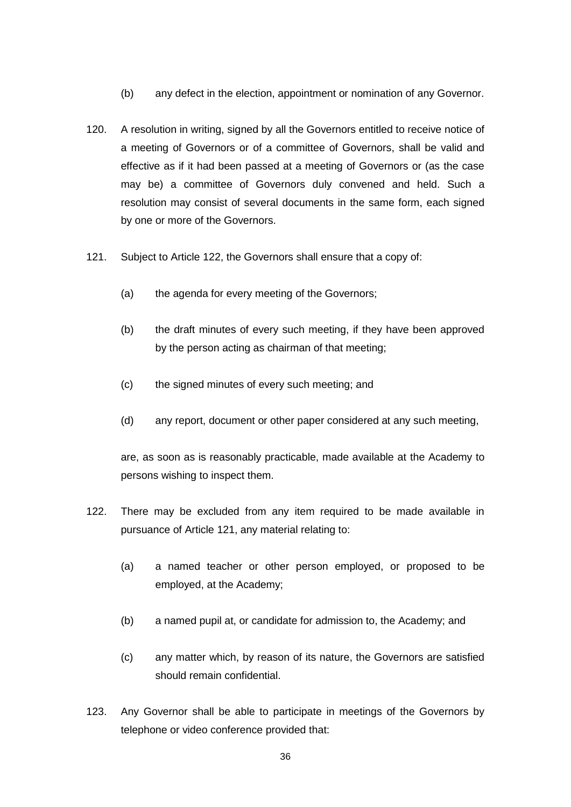- (b) any defect in the election, appointment or nomination of any Governor.
- 120. A resolution in writing, signed by all the Governors entitled to receive notice of a meeting of Governors or of a committee of Governors, shall be valid and effective as if it had been passed at a meeting of Governors or (as the case may be) a committee of Governors duly convened and held. Such a resolution may consist of several documents in the same form, each signed by one or more of the Governors.
- <span id="page-35-1"></span>121. Subject to Article [122,](#page-35-0) the Governors shall ensure that a copy of:
	- (a) the agenda for every meeting of the Governors;
	- (b) the draft minutes of every such meeting, if they have been approved by the person acting as chairman of that meeting;
	- (c) the signed minutes of every such meeting; and
	- (d) any report, document or other paper considered at any such meeting,

are, as soon as is reasonably practicable, made available at the Academy to persons wishing to inspect them.

- <span id="page-35-0"></span>122. There may be excluded from any item required to be made available in pursuance of Article [121,](#page-35-1) any material relating to:
	- (a) a named teacher or other person employed, or proposed to be employed, at the Academy;
	- (b) a named pupil at, or candidate for admission to, the Academy; and
	- (c) any matter which, by reason of its nature, the Governors are satisfied should remain confidential.
- 123. Any Governor shall be able to participate in meetings of the Governors by telephone or video conference provided that: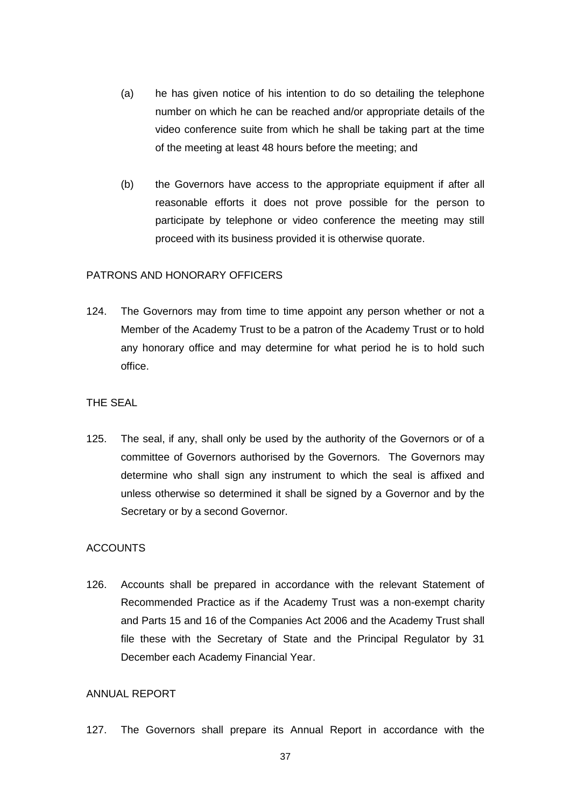- (a) he has given notice of his intention to do so detailing the telephone number on which he can be reached and/or appropriate details of the video conference suite from which he shall be taking part at the time of the meeting at least 48 hours before the meeting; and
- (b) the Governors have access to the appropriate equipment if after all reasonable efforts it does not prove possible for the person to participate by telephone or video conference the meeting may still proceed with its business provided it is otherwise quorate.

#### PATRONS AND HONORARY OFFICERS

124. The Governors may from time to time appoint any person whether or not a Member of the Academy Trust to be a patron of the Academy Trust or to hold any honorary office and may determine for what period he is to hold such office.

#### THE SEAL

125. The seal, if any, shall only be used by the authority of the Governors or of a committee of Governors authorised by the Governors. The Governors may determine who shall sign any instrument to which the seal is affixed and unless otherwise so determined it shall be signed by a Governor and by the Secretary or by a second Governor.

#### ACCOUNTS

126. Accounts shall be prepared in accordance with the relevant Statement of Recommended Practice as if the Academy Trust was a non-exempt charity and Parts 15 and 16 of the Companies Act 2006 and the Academy Trust shall file these with the Secretary of State and the Principal Regulator by 31 December each Academy Financial Year.

# ANNUAL REPORT

127. The Governors shall prepare its Annual Report in accordance with the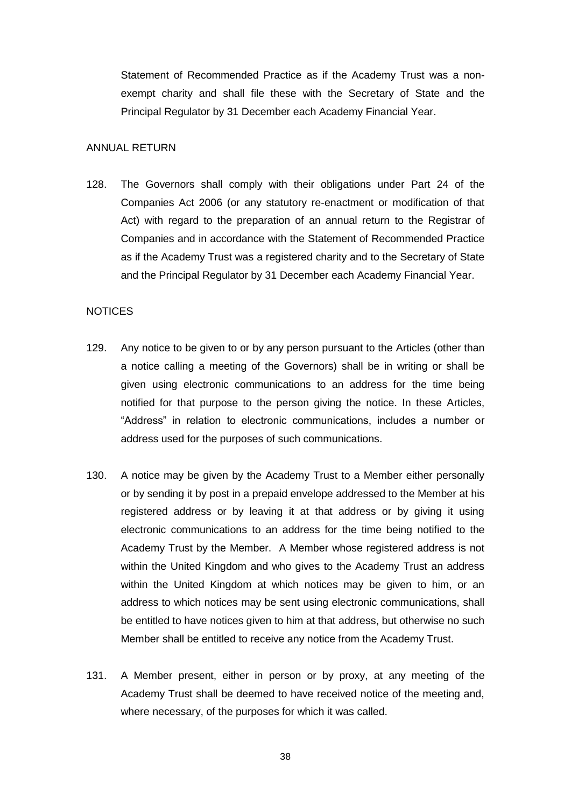Statement of Recommended Practice as if the Academy Trust was a nonexempt charity and shall file these with the Secretary of State and the Principal Regulator by 31 December each Academy Financial Year.

#### ANNUAL RETURN

128. The Governors shall comply with their obligations under Part 24 of the Companies Act 2006 (or any statutory re-enactment or modification of that Act) with regard to the preparation of an annual return to the Registrar of Companies and in accordance with the Statement of Recommended Practice as if the Academy Trust was a registered charity and to the Secretary of State and the Principal Regulator by 31 December each Academy Financial Year.

#### NOTICES

- 129. Any notice to be given to or by any person pursuant to the Articles (other than a notice calling a meeting of the Governors) shall be in writing or shall be given using electronic communications to an address for the time being notified for that purpose to the person giving the notice. In these Articles, "Address" in relation to electronic communications, includes a number or address used for the purposes of such communications.
- 130. A notice may be given by the Academy Trust to a Member either personally or by sending it by post in a prepaid envelope addressed to the Member at his registered address or by leaving it at that address or by giving it using electronic communications to an address for the time being notified to the Academy Trust by the Member. A Member whose registered address is not within the United Kingdom and who gives to the Academy Trust an address within the United Kingdom at which notices may be given to him, or an address to which notices may be sent using electronic communications, shall be entitled to have notices given to him at that address, but otherwise no such Member shall be entitled to receive any notice from the Academy Trust.
- 131. A Member present, either in person or by proxy, at any meeting of the Academy Trust shall be deemed to have received notice of the meeting and, where necessary, of the purposes for which it was called.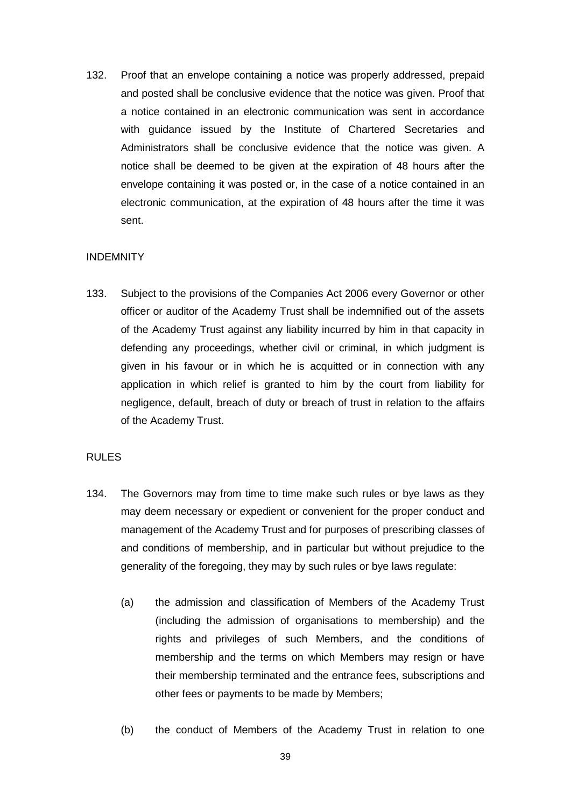132. Proof that an envelope containing a notice was properly addressed, prepaid and posted shall be conclusive evidence that the notice was given. Proof that a notice contained in an electronic communication was sent in accordance with guidance issued by the Institute of Chartered Secretaries and Administrators shall be conclusive evidence that the notice was given. A notice shall be deemed to be given at the expiration of 48 hours after the envelope containing it was posted or, in the case of a notice contained in an electronic communication, at the expiration of 48 hours after the time it was sent.

# INDEMNITY

133. Subject to the provisions of the Companies Act 2006 every Governor or other officer or auditor of the Academy Trust shall be indemnified out of the assets of the Academy Trust against any liability incurred by him in that capacity in defending any proceedings, whether civil or criminal, in which judgment is given in his favour or in which he is acquitted or in connection with any application in which relief is granted to him by the court from liability for negligence, default, breach of duty or breach of trust in relation to the affairs of the Academy Trust.

# RULES

- 134. The Governors may from time to time make such rules or bye laws as they may deem necessary or expedient or convenient for the proper conduct and management of the Academy Trust and for purposes of prescribing classes of and conditions of membership, and in particular but without prejudice to the generality of the foregoing, they may by such rules or bye laws regulate:
	- (a) the admission and classification of Members of the Academy Trust (including the admission of organisations to membership) and the rights and privileges of such Members, and the conditions of membership and the terms on which Members may resign or have their membership terminated and the entrance fees, subscriptions and other fees or payments to be made by Members;
	- (b) the conduct of Members of the Academy Trust in relation to one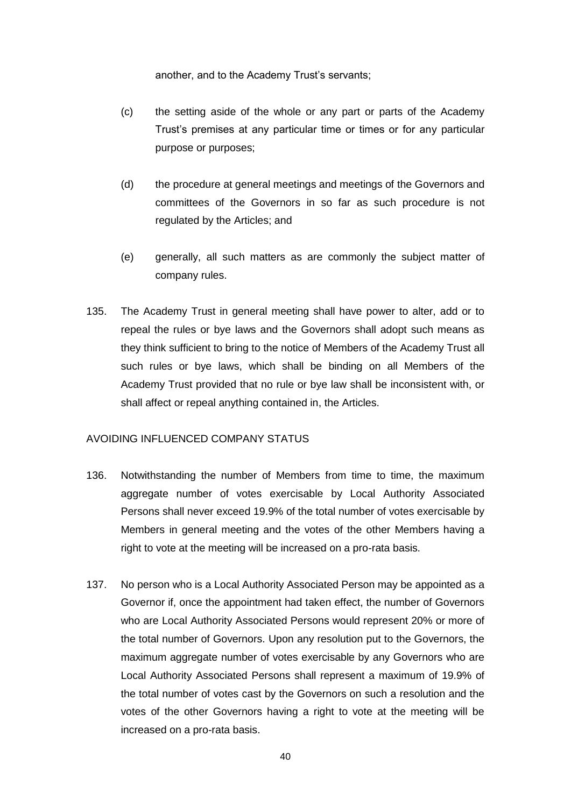another, and to the Academy Trust's servants;

- (c) the setting aside of the whole or any part or parts of the Academy Trust's premises at any particular time or times or for any particular purpose or purposes;
- (d) the procedure at general meetings and meetings of the Governors and committees of the Governors in so far as such procedure is not regulated by the Articles; and
- (e) generally, all such matters as are commonly the subject matter of company rules.
- 135. The Academy Trust in general meeting shall have power to alter, add or to repeal the rules or bye laws and the Governors shall adopt such means as they think sufficient to bring to the notice of Members of the Academy Trust all such rules or bye laws, which shall be binding on all Members of the Academy Trust provided that no rule or bye law shall be inconsistent with, or shall affect or repeal anything contained in, the Articles.

#### AVOIDING INFLUENCED COMPANY STATUS

- <span id="page-39-0"></span>136. Notwithstanding the number of Members from time to time, the maximum aggregate number of votes exercisable by Local Authority Associated Persons shall never exceed 19.9% of the total number of votes exercisable by Members in general meeting and the votes of the other Members having a right to vote at the meeting will be increased on a pro-rata basis.
- 137. No person who is a Local Authority Associated Person may be appointed as a Governor if, once the appointment had taken effect, the number of Governors who are Local Authority Associated Persons would represent 20% or more of the total number of Governors. Upon any resolution put to the Governors, the maximum aggregate number of votes exercisable by any Governors who are Local Authority Associated Persons shall represent a maximum of 19.9% of the total number of votes cast by the Governors on such a resolution and the votes of the other Governors having a right to vote at the meeting will be increased on a pro-rata basis.